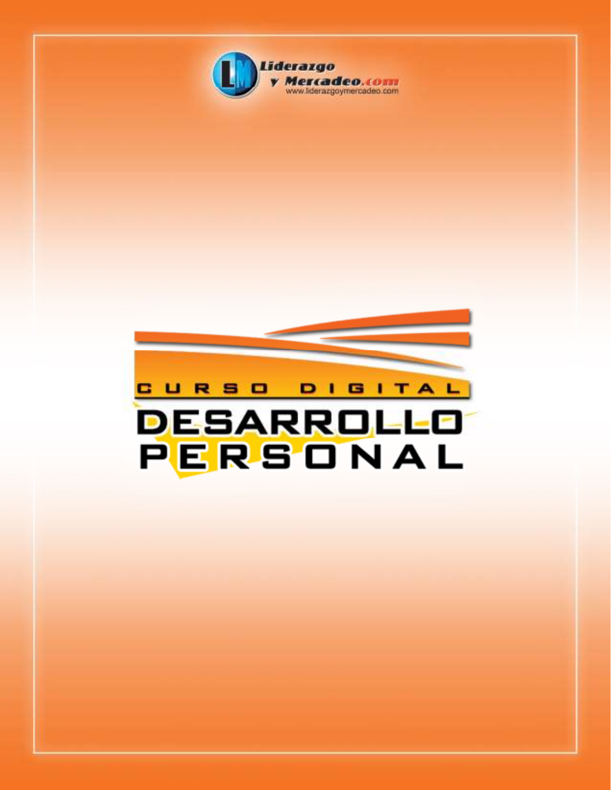

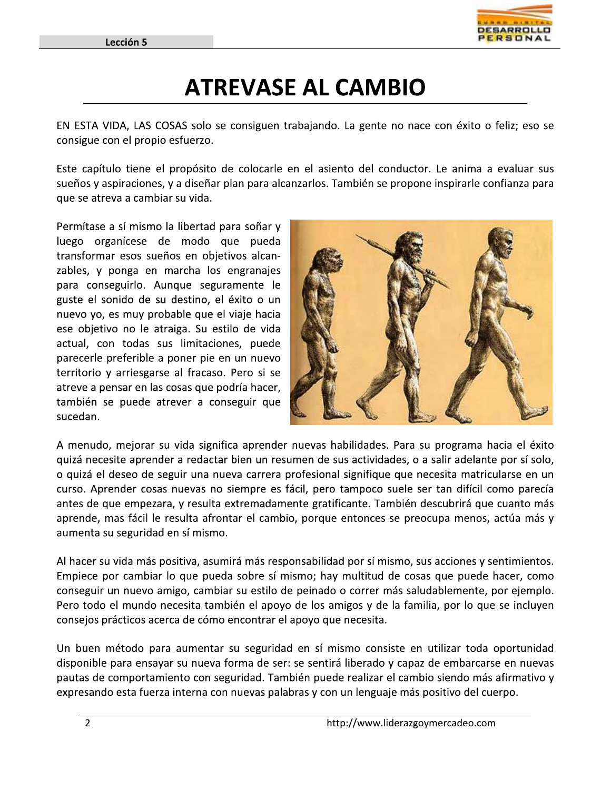

### **ATREVASE AL CAMBIO**

EN ESTA VIDA, LAS COSAS solo se consiguen trabajando. La gente no nace con éxito o feliz; eso se consigue con el propio esfuerzo.

Este capítulo tiene el propósito de colocarle en el asiento del conductor. Le anima a evaluar sus sueños y aspiraciones, y a diseñar plan para alcanzarlos. También se propone inspirarle confianza para que se atreva a cambiar su vida.

Permítase a sí mismo la libertad para soñar y luego organícese de modo que pueda transformar esos sueños en objetivos alcanzables, y ponga en marcha los engranajes para conseguirlo. Aunque seguramente le guste el sonido de su destino, el éxito o un nuevo yo, es muy probable que el viaje hacia ese objetivo no le atraiga. Su estilo de vida actual, con todas sus limitaciones, puede parecerle preferible a poner pie en un nuevo territorio y arriesgarse al fracaso. Pero si se atreve a pensar en las cosas que podría hacer, también se puede atrever a conseguir que sucedan.



A menudo, mejorar su vida significa aprender nuevas habilidades. Para su programa hacia el éxito quizá necesite aprender a redactar bien un resumen de sus actividades, o a salir adelante por sí solo, o quizá el deseo de seguir una nueva carrera profesional signifique que necesita matricularse en un curso. Aprender cosas nuevas no siempre es fácil, pero tampoco suele ser tan difícil como parecía antes de que empezara, y resulta extremadamente gratificante. También descubrirá que cuanto más aprende, mas fácil le resulta afrontar el cambio, porque entonces se preocupa menos, actúa más y aumenta su seguridad en sí mismo.

Al hacer su vida más positiva, asumirá más responsabilidad por sí mismo, sus acciones y sentimientos. Empiece por cambiar lo que pueda sobre sí mismo; hay multitud de cosas que puede hacer, como conseguir un nuevo amigo, cambiar su estilo de peinado o correr más saludablemente, por ejemplo. Pero todo el mundo necesita también el apoyo de los amigos y de la familia, por lo que se incluyen consejos prácticos acerca de cómo encontrar el apoyo que necesita.

Un buen método para aumentar su seguridad en sí mismo consiste en utilizar toda oportunidad disponible para ensayar su nueva forma de ser: se sentirá liberado y capaz de embarcarse en nuevas pautas de comportamiento con seguridad. También puede realizar el cambio siendo más afirmativo y expresando esta fuerza interna con nuevas palabras y con un lenguaje más positivo del cuerpo.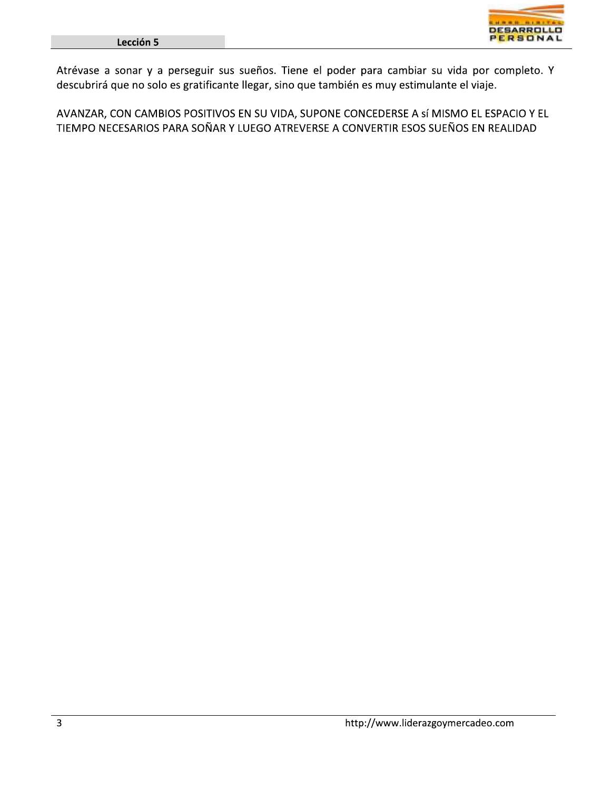

Atrévase a sonar y a perseguir sus sueños. Tiene el poder para cambiar su vida por completo. Y descubrirá que no solo es gratificante llegar, sino que también es muy estimulante el viaje.

AVANZAR, CON CAMBIOS POSITIVOS EN SU VIDA, SUPONE CONCEDERSE A sí MISMO EL ESPACIO Y EL TIEMPO NECESARIOS PARA SOÑAR Y LUEGO ATREVERSE A CONVERTIR ESOS SUEÑOS EN REALIDAD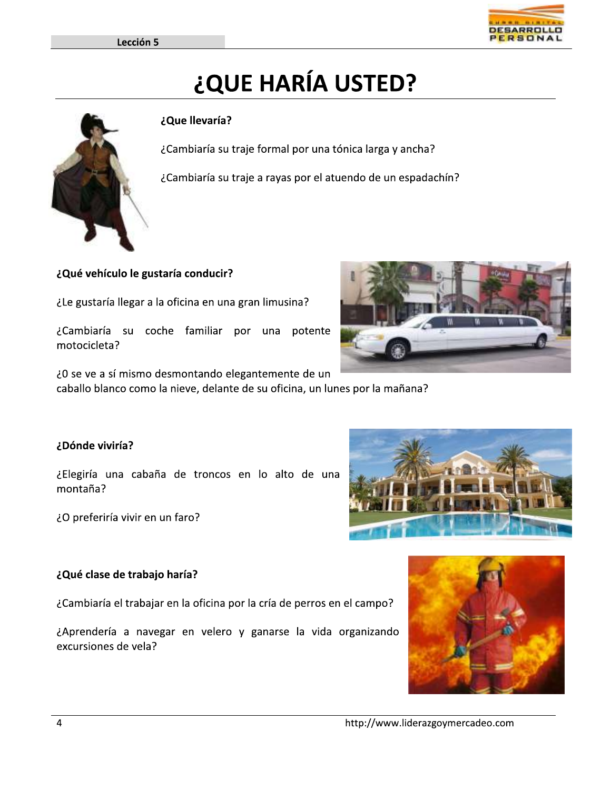# ¿QUE HARÍA USTED?

### ¿Que llevaría?

¿Cambiaría su traje formal por una tónica larga y ancha?

¿Cambiaría su traje a rayas por el atuendo de un espadachín?

¿Qué vehículo le gustaría conducir?

¿Le gustaría llegar a la oficina en una gran limusina?

¿Cambiaría su coche familiar por una potente motocicleta?

¿O se ve a sí mismo desmontando elegantemente de un caballo blanco como la nieve, delante de su oficina, un lunes por la mañana?

### ¿Dónde viviría?

¿Elegiría una cabaña de troncos en lo alto de una montaña?

¿O preferiría vivir en un faro?

### ¿Qué clase de trabajo haría?

¿Cambiaría el trabajar en la oficina por la cría de perros en el campo?

¿Aprendería a navegar en velero y ganarse la vida organizando excursiones de vela?









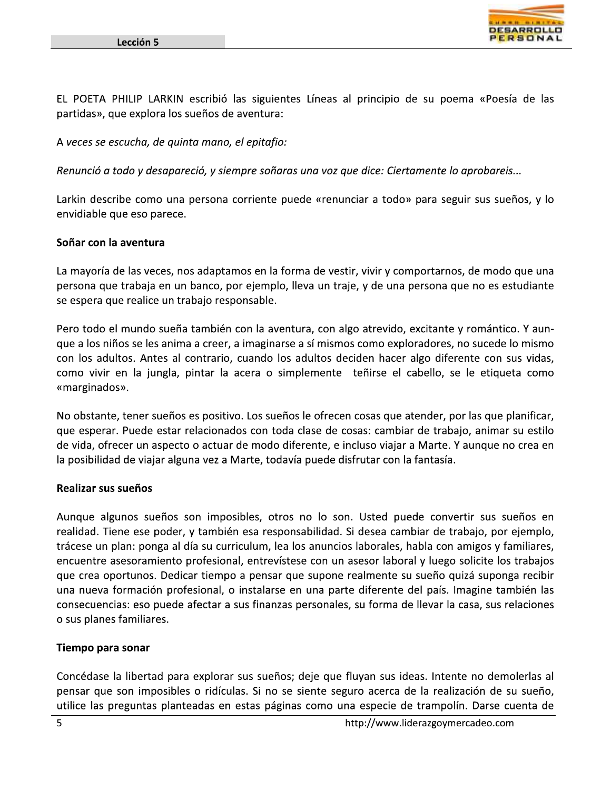

EL POETA PHILIP LARKIN escribió las siguientes Líneas al principio de su poema «Poesía de las partidas», que explora los sueños de aventura:

A veces se escucha, de quinta mano, el epitafio:

Renunció a todo y desapareció, y siempre soñaras una voz que dice: Ciertamente lo aprobareis...

Larkin describe como una persona corriente puede «renunciar a todo» para seguir sus sueños, y lo envidiable que eso parece.

### Soñar con la aventura

La mayoría de las veces, nos adaptamos en la forma de vestir, vivir y comportarnos, de modo que una persona que trabaja en un banco, por ejemplo, lleva un traje, y de una persona que no es estudiante se espera que realice un trabajo responsable.

Pero todo el mundo sueña también con la aventura, con algo atrevido, excitante y romántico. Y aunque a los niños se les anima a creer, a imaginarse a sí mismos como exploradores, no sucede lo mismo con los adultos. Antes al contrario, cuando los adultos deciden hacer algo diferente con sus vidas, como vivir en la jungla, pintar la acera o simplemente teñirse el cabello, se le etiqueta como «marginados».

No obstante, tener sueños es positivo. Los sueños le ofrecen cosas que atender, por las que planificar, que esperar. Puede estar relacionados con toda clase de cosas: cambiar de trabajo, animar su estilo de vida, ofrecer un aspecto o actuar de modo diferente, e incluso viajar a Marte. Y aunque no crea en la posibilidad de viajar alguna vez a Marte, todavía puede disfrutar con la fantasía.

### Realizar sus sueños

Aunque algunos sueños son imposibles, otros no lo son. Usted puede convertir sus sueños en realidad. Tiene ese poder, y también esa responsabilidad. Si desea cambiar de trabajo, por ejemplo, trácese un plan: ponga al día su curriculum, lea los anuncios laborales, habla con amigos y familiares, encuentre asesoramiento profesional, entrevístese con un asesor laboral y luego solicite los trabajos que crea oportunos. Dedicar tiempo a pensar que supone realmente su sueño quizá suponga recibir una nueva formación profesional, o instalarse en una parte diferente del país. Imagine también las consecuencias: eso puede afectar a sus finanzas personales, su forma de llevar la casa, sus relaciones o sus planes familiares.

### Tiempo para sonar

Concédase la libertad para explorar sus sueños; deje que fluyan sus ideas. Intente no demolerlas al pensar que son imposibles o ridículas. Si no se siente seguro acerca de la realización de su sueño, utilice las preguntas planteadas en estas páginas como una especie de trampolín. Darse cuenta de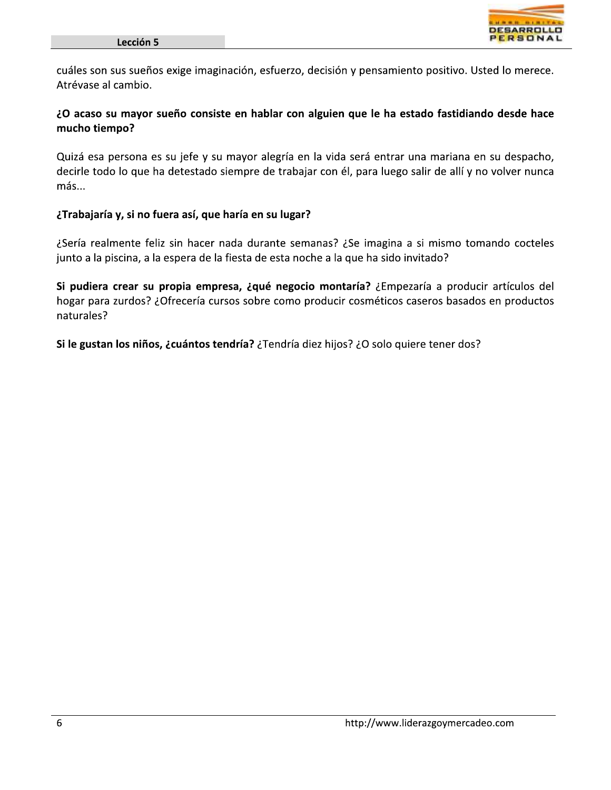

cuáles son sus sueños exige imaginación, esfuerzo, decisión y pensamiento positivo. Usted lo merece. Atrévase al cambio.

### ¿O acaso su mayor sueño consiste en hablar con alguien que le ha estado fastidiando desde hace mucho tiempo?

Quizá esa persona es su jefe y su mayor alegría en la vida será entrar una mariana en su despacho, decirle todo lo que ha detestado siempre de trabajar con él, para luego salir de allí y no volver nunca más...

### ¿Trabajaría y, si no fuera así, que haría en su lugar?

¿Sería realmente feliz sin hacer nada durante semanas? ¿Se imagina a si mismo tomando cocteles junto a la piscina, a la espera de la fiesta de esta noche a la que ha sido invitado?

Si pudiera crear su propia empresa, ¿qué negocio montaría? ¿Empezaría a producir artículos del hogar para zurdos? ¿Ofrecería cursos sobre como producir cosméticos caseros basados en productos naturales?

Si le gustan los niños, ¿cuántos tendría? ¿Tendría diez hijos? ¿O solo quiere tener dos?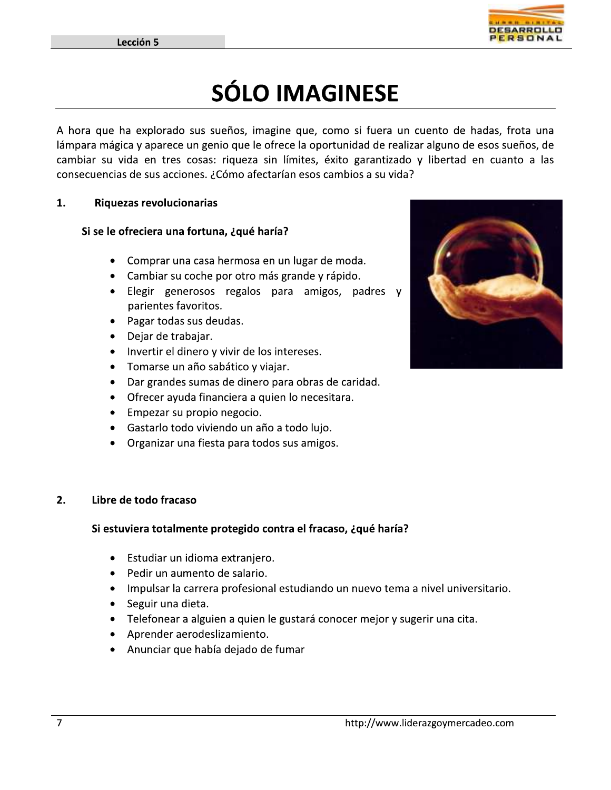Ξ



## SÓLO IMAGINESE

A hora que ha explorado sus sueños, imagine que, como si fuera un cuento de hadas, frota una Lección 5<br>
1. The contract of the explorado sus s<br>
1. The explorado sus s<br>
1. The consecuencias de sus acciones.<br>
1. Thinguezas revolucionarias<br>
1. Si se le ofreciera una forture **SÓLO IMAGINESE**<br> **SÓLO IMAGINESE**<br> **a** explorado sus sueños, imagine que, como si fuera un cuento de ha<br>
da en tres cosas: riqueza sin límites, éxito garantizado y libertad er<br>
de sus acciones. ¿Cómo afectarían esos cambi Exerción 5<br>
SÓLO IMAGINESE<br>
A hora que ha explorado sus sueños, imagine que, como si fuera un cuento de hadas, frota una<br>
lámpara mágica y aparece un genio que le ofrece la oportunidad de realizar alguno de esos sueños, de

### Riquezas revolucionarias

### Si se le ofreciera una fortuna. ¿qué haría?

- Comprar una casa hermosa en un lugar de moda.
- Cambiar su coche por otro más grande y rápido.
- · Elegir generosos regalos para amigos, padres y parientes favoritos. • Elegir generosos regalos para amigos, padres<br>parientes favoritos.<br>• Pagar todas sus deudas.<br>• Dejar de trabajar.<br>• Invertir el dinero y vivir de los intereses.<br>• Tomarse un año sabático y viajar.<br>• Dar grandes sumas de d
	- Pagar todas sus deudas.
	- Dejar de trabajar.
	- Invertir el dinero y vivir de los intereses.
	- Tomarse un año sabático y viajar.
	-
	-
	-
	-
	-

### 2. Libre de todo fracaso

### Si estuviera totalmente protegido contra el fracaso, ¿qué haría?

- Estudiar un idioma extranjero.
- Pedir un aumento de salario.
- Impulsar la carrera profesional estudiando un nuevo tema a nivel universitario. Si estuviera totalmente protegido contra el fracaso, ¿qué haría?<br>
• Estudiar un idioma extranjero.<br>
• Pedir un aumento de salario.<br>
• Impulsar la carrera profesional estudiando un nuevo tema a nivel universit<br>
• Seguir una
	-
	-
	-
	- Anunciar que había dejado de fumar

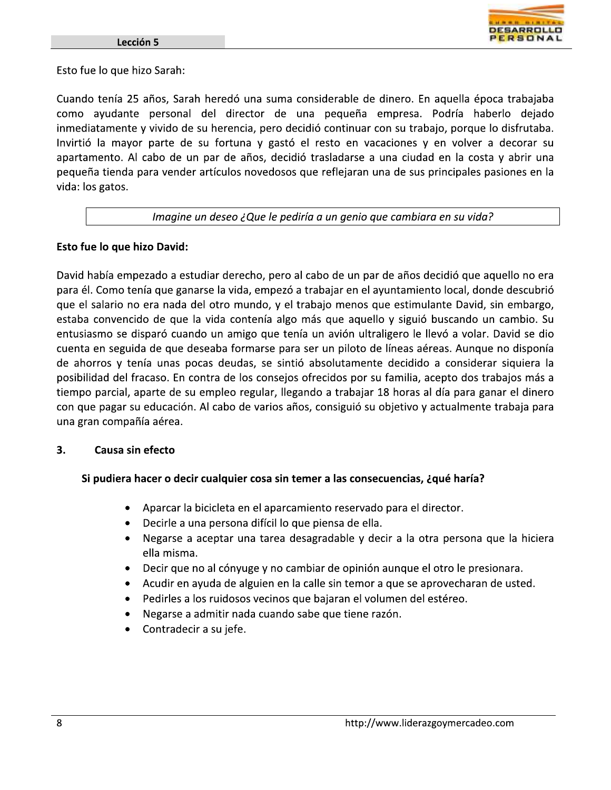

Esto fue lo que hizo Sarah:

Cuando tenía 25 años, Sarah heredó una suma considerable de dinero. En aquella época trabajaba como ayudante personal del director de una pequeña empresa. Podría haberlo dejado inmediatamente y vivido de su herencia, pero decidió continuar con su trabajo, porque lo disfrutaba. Invirtió la mayor parte de su fortuna y gastó el resto en vacaciones y en volver a decorar su apartamento. Al cabo de un par de años, decidió trasladarse a una ciudad en la costa y abrir una pequeña tienda para vender artículos novedosos que reflejaran una de sus principales pasiones en la vida: los gatos.

#### Imagine un deseo ¿Que le pediría a un genio que cambiara en su vida?

### Esto fue lo que hizo David:

David había empezado a estudiar derecho, pero al cabo de un par de años decidió que aquello no era para él. Como tenía que ganarse la vida, empezó a trabajar en el ayuntamiento local, donde descubrió que el salario no era nada del otro mundo, y el trabajo menos que estimulante David, sin embargo, estaba convencido de que la vida contenía algo más que aquello y siguió buscando un cambio. Su entusiasmo se disparó cuando un amigo que tenía un avión ultraligero le llevó a volar. David se dio cuenta en seguida de que deseaba formarse para ser un piloto de líneas aéreas. Aunque no disponía de ahorros y tenía unas pocas deudas, se sintió absolutamente decidido a considerar siquiera la posibilidad del fracaso. En contra de los consejos ofrecidos por su familia, acepto dos trabajos más a tiempo parcial, aparte de su empleo regular, llegando a trabajar 18 horas al día para ganar el dinero con que pagar su educación. Al cabo de varios años, consiguió su objetivo y actualmente trabaja para una gran compañía aérea.

#### 3. Causa sin efecto

### Si pudiera hacer o decir cualquier cosa sin temer a las consecuencias, ¿qué haría?

- $\bullet$ Aparcar la bicicleta en el aparcamiento reservado para el director.
- Decirle a una persona difícil lo que piensa de ella.
- Negarse a aceptar una tarea desagradable y decir a la otra persona que la hiciera ella misma.
- Decir que no al cónyuge y no cambiar de opinión aunque el otro le presionara.
- Acudir en ayuda de alguien en la calle sin temor a que se aprovecharan de usted.  $\bullet$
- Pedirles a los ruidosos vecinos que bajaran el volumen del estéreo.
- Negarse a admitir nada cuando sabe que tiene razón.
- Contradecir a su jefe.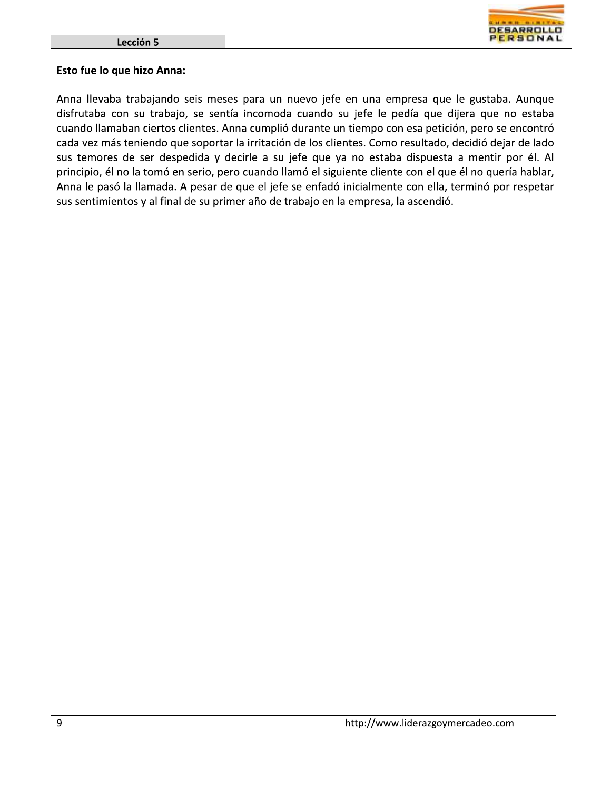

### Esto fue lo que hizo Anna:

Anna llevaba trabajando seis meses para un nuevo jefe en una empresa que le gustaba. Aunque disfrutaba con su trabajo, se sentía incomoda cuando su jefe le pedía que dijera que no estaba cuando llamaban ciertos clientes. Anna cumplió durante un tiempo con esa petición, pero se encontró cada vez más teniendo que soportar la irritación de los clientes. Como resultado, decidió dejar de lado sus temores de ser despedida y decirle a su jefe que ya no estaba dispuesta a mentir por él. Al principio, él no la tomó en serio, pero cuando llamó el siguiente cliente con el que él no quería hablar, Anna le pasó la llamada. A pesar de que el jefe se enfadó inicialmente con ella, terminó por respetar sus sentimientos y al final de su primer año de trabajo en la empresa, la ascendió.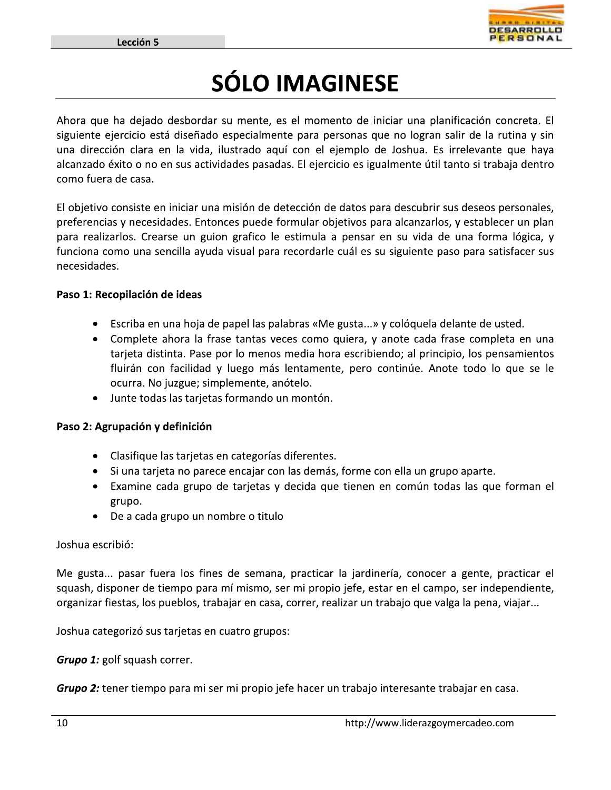

# **SÓLO IMAGINESE**

Ahora que ha dejado desbordar su mente, es el momento de iniciar una planificación concreta. El siguiente ejercicio está diseñado especialmente para personas que no logran salir de la rutina y sin una dirección clara en la vida, ilustrado aguí con el ejemplo de Joshua. Es irrelevante que haya alcanzado éxito o no en sus actividades pasadas. El ejercicio es igualmente útil tanto si trabaja dentro como fuera de casa.

El objetivo consiste en iniciar una misión de detección de datos para descubrir sus deseos personales, preferencias y necesidades. Entonces puede formular objetivos para alcanzarlos, y establecer un plan para realizarlos. Crearse un guion grafico le estimula a pensar en su vida de una forma lógica, y funciona como una sencilla ayuda visual para recordarle cuál es su siguiente paso para satisfacer sus necesidades.

### Paso 1: Recopilación de ideas

- Escriba en una hoja de papel las palabras «Me gusta...» y colóquela delante de usted.
- Complete ahora la frase tantas veces como quiera, y anote cada frase completa en una tarjeta distinta. Pase por lo menos media hora escribiendo; al principio, los pensamientos fluirán con facilidad y luego más lentamente, pero continúe. Anote todo lo que se le ocurra. No juzgue; simplemente, anótelo.
- Junte todas las tarjetas formando un montón.  $\bullet$

### Paso 2: Agrupación y definición

- Clasifique las tarjetas en categorías diferentes.
- · Si una tarjeta no parece encajar con las demás, forme con ella un grupo aparte.
- Examine cada grupo de tarjetas y decida que tienen en común todas las que forman el grupo.
- De a cada grupo un nombre o titulo

### Joshua escribió:

Me gusta... pasar fuera los fines de semana, practicar la jardinería, conocer a gente, practicar el squash, disponer de tiempo para mí mismo, ser mi propio jefe, estar en el campo, ser independiente, organizar fiestas, los pueblos, trabajar en casa, correr, realizar un trabajo que valga la pena, viajar...

Joshua categorizó sus tarjetas en cuatro grupos:

**Grupo 1:** golf squash correr.

Grupo 2: tener tiempo para mi ser mi propio jefe hacer un trabajo interesante trabajar en casa.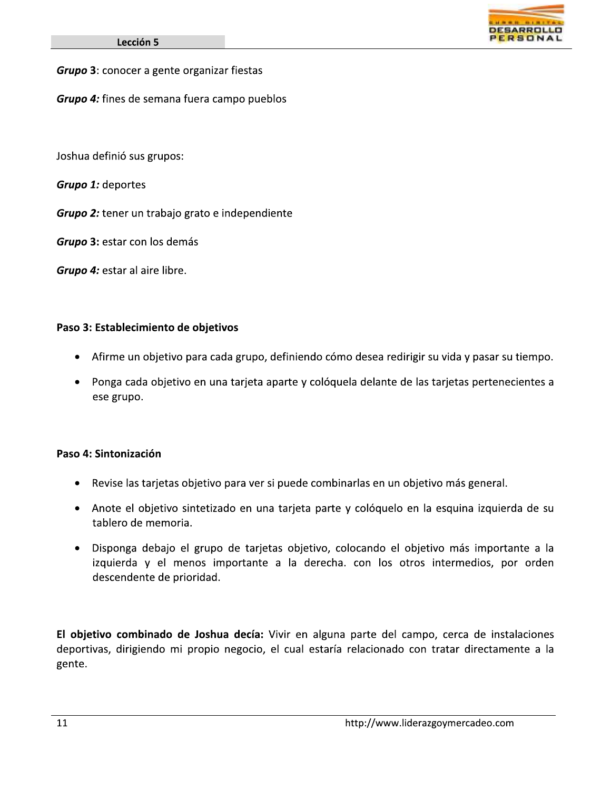Grupo 3: conocer a gente organizar fiestas

Grupo 4: fines de semana fuera campo pueblos

Joshua definió sus grupos:

**Grupo 1: deportes** 

Grupo 2: tener un trabajo grato e independiente

Grupo 3: estar con los demás

Grupo 4: estar al aire libre.

### Paso 3: Establecimiento de objetivos

- · Afirme un objetivo para cada grupo, definiendo cómo desea redirigir su vida y pasar su tiempo.
- Ponga cada objetivo en una tarjeta aparte y colóquela delante de las tarjetas pertenecientes a ese grupo.

### Paso 4: Sintonización

- Revise las tarjetas objetivo para ver si puede combinarlas en un objetivo más general.
- Anote el objetivo sintetizado en una tarjeta parte y colóquelo en la esquina izquierda de su tablero de memoria.
- · Disponga debajo el grupo de tarjetas objetivo, colocando el objetivo más importante a la izquierda y el menos importante a la derecha. con los otros intermedios, por orden descendente de prioridad.

El objetivo combinado de Joshua decía: Vivir en alguna parte del campo, cerca de instalaciones deportivas, dirigiendo mi propio negocio, el cual estaría relacionado con tratar directamente a la gente.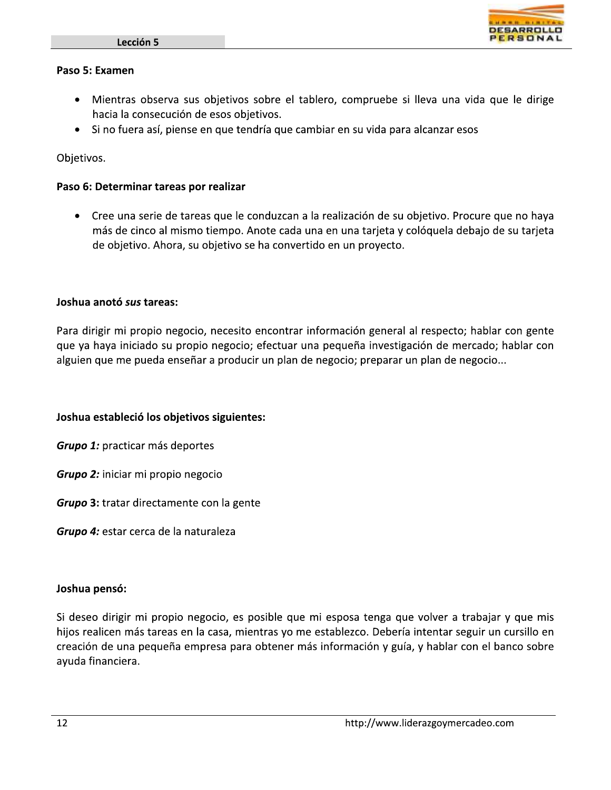

#### Paso 5: Examen

- Mientras observa sus objetivos sobre el tablero, compruebe si lleva una vida que le dirige hacia la consecución de esos objetivos.
- · Si no fuera así, piense en que tendría que cambiar en su vida para alcanzar esos

Objetivos.

### Paso 6: Determinar tareas por realizar

• Cree una serie de tareas que le conduzcan a la realización de su objetivo. Procure que no haya más de cinco al mismo tiempo. Anote cada una en una tarjeta y colóquela debajo de su tarjeta de objetivo. Ahora, su objetivo se ha convertido en un proyecto.

### Joshua anotó sus tareas:

Para dirigir mi propio negocio, necesito encontrar información general al respecto; hablar con gente que ya haya iniciado su propio negocio; efectuar una pequeña investigación de mercado; hablar con alguien que me pueda enseñar a producir un plan de negocio; preparar un plan de negocio...

### Joshua estableció los objetivos siguientes:

**Grupo 1:** practicar más deportes

Grupo 2: iniciar mi propio negocio

**Grupo 3:** tratar directamente con la gente

Grupo 4: estar cerca de la naturaleza

#### Joshua pensó:

Si deseo dirigir mi propio negocio, es posible que mi esposa tenga que volver a trabajar y que mis hijos realicen más tareas en la casa, mientras yo me establezco. Debería intentar seguir un cursillo en creación de una pequeña empresa para obtener más información y guía, y hablar con el banco sobre ayuda financiera.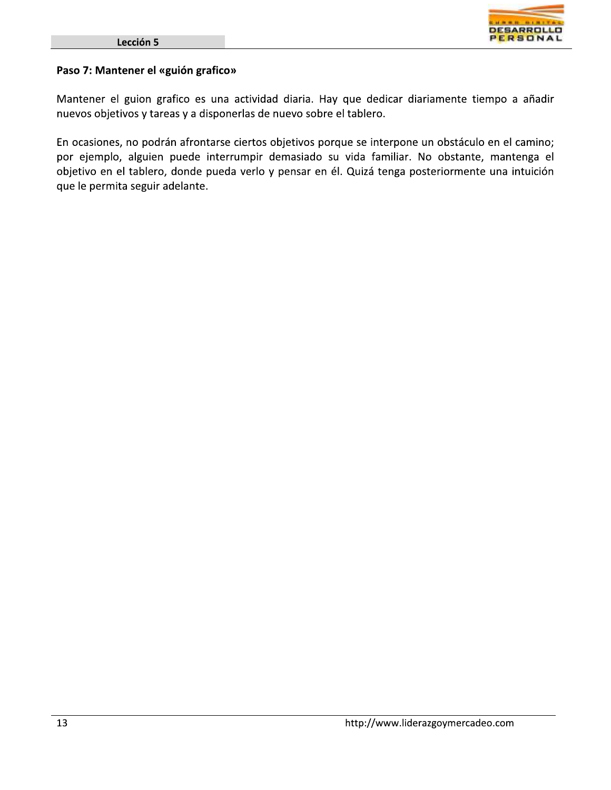

### Paso 7: Mantener el «guión grafico»

Mantener el guion grafico es una actividad diaria. Hay que dedicar diariamente tiempo a añadir nuevos objetivos y tareas y a disponerlas de nuevo sobre el tablero.

En ocasiones, no podrán afrontarse ciertos objetivos porque se interpone un obstáculo en el camino; por ejemplo, alguien puede interrumpir demasiado su vida familiar. No obstante, mantenga el objetivo en el tablero, donde pueda verlo y pensar en él. Quizá tenga posteriormente una intuición que le permita seguir adelante.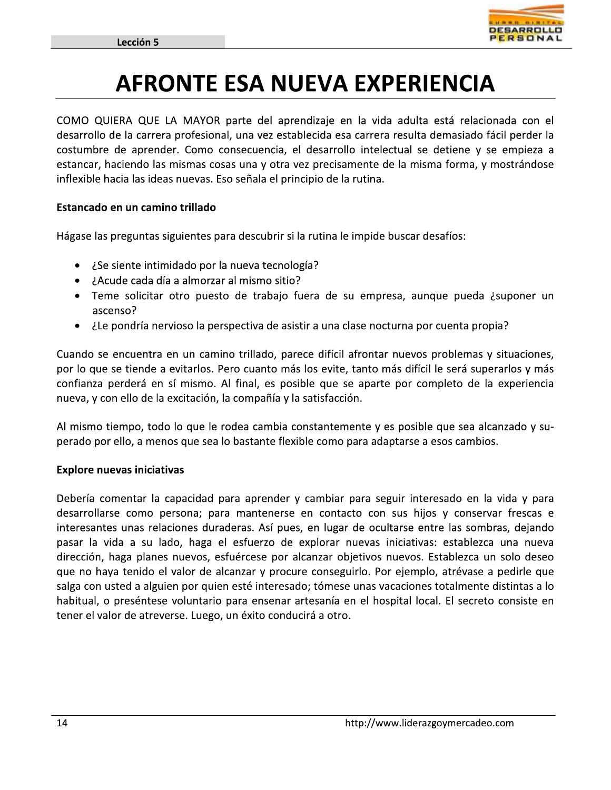

### **AFRONTE ESA NUEVA EXPERIENCIA**

COMO QUIERA QUE LA MAYOR parte del aprendizaje en la vida adulta está relacionada con el desarrollo de la carrera profesional, una vez establecida esa carrera resulta demasiado fácil perder la costumbre de aprender. Como consecuencia, el desarrollo intelectual se detiene y se empieza a estancar, haciendo las mismas cosas una y otra vez precisamente de la misma forma, y mostrándose inflexible hacia las ideas nuevas. Eso señala el principio de la rutina.

### Estancado en un camino trillado

Hágase las preguntas siguientes para descubrir si la rutina le impide buscar desafíos:

- ¿Se siente intimidado por la nueva tecnología?
- ¿Acude cada día a almorzar al mismo sitio?
- Teme solicitar otro puesto de trabajo fuera de su empresa, aunque pueda ¿suponer un ascenso?
- ile pondría nervioso la perspectiva de asistir a una clase nocturna por cuenta propia?

Cuando se encuentra en un camino trillado, parece difícil afrontar nuevos problemas y situaciones, por lo que se tiende a evitarlos. Pero cuanto más los evite, tanto más difícil le será superarlos y más confianza perderá en sí mismo. Al final, es posible que se aparte por completo de la experiencia nueva, y con ello de la excitación, la compañía y la satisfacción.

Al mismo tiempo, todo lo que le rodea cambia constantemente y es posible que sea alcanzado y superado por ello, a menos que sea lo bastante flexible como para adaptarse a esos cambios.

### **Explore nuevas iniciativas**

Debería comentar la capacidad para aprender y cambiar para seguir interesado en la vida y para desarrollarse como persona; para mantenerse en contacto con sus hijos y conservar frescas e interesantes unas relaciones duraderas. Así pues, en lugar de ocultarse entre las sombras, dejando pasar la vida a su lado, haga el esfuerzo de explorar nuevas iniciativas: establezca una nueva dirección, haga planes nuevos, esfuércese por alcanzar objetivos nuevos. Establezca un solo deseo que no haya tenido el valor de alcanzar y procure conseguirlo. Por ejemplo, atrévase a pedirle que salga con usted a alguien por quien esté interesado; tómese unas vacaciones totalmente distintas a lo habitual, o preséntese voluntario para ensenar artesanía en el hospital local. El secreto consiste en tener el valor de atreverse. Luego, un éxito conducirá a otro.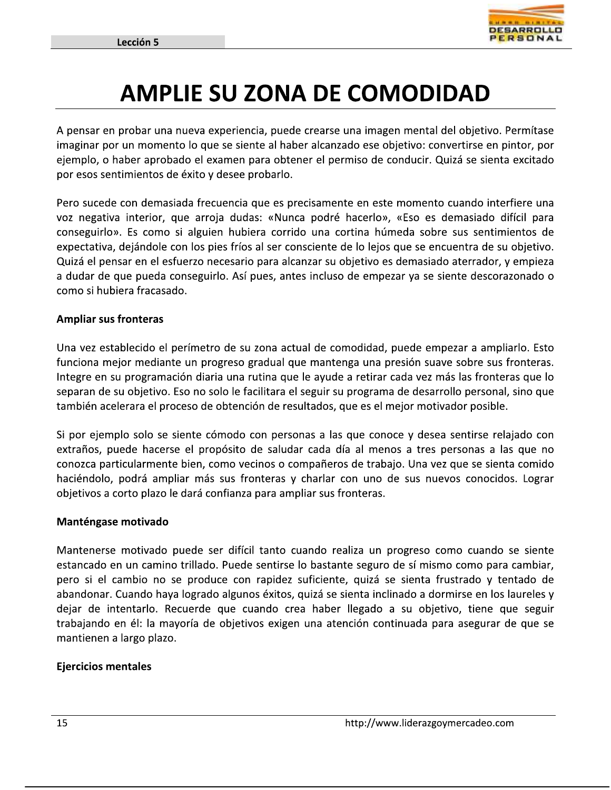

### **AMPLIE SU ZONA DE COMODIDAD**

A pensar en probar una nueva experiencia, puede crearse una imagen mental del objetivo. Permítase imaginar por un momento lo que se siente al haber alcanzado ese objetivo: convertirse en pintor, por ejemplo, o haber aprobado el examen para obtener el permiso de conducir. Quizá se sienta excitado por esos sentimientos de éxito y desee probarlo.

Pero sucede con demasiada frecuencia que es precisamente en este momento cuando interfiere una voz negativa interior, que arroja dudas: «Nunca podré hacerlo», «Eso es demasiado difícil para conseguirlo». Es como si alguien hubiera corrido una cortina húmeda sobre sus sentimientos de expectativa, dejándole con los pies fríos al ser consciente de lo lejos que se encuentra de su objetivo. Quizá el pensar en el esfuerzo necesario para alcanzar su objetivo es demasiado aterrador, y empieza a dudar de que pueda conseguirlo. Así pues, antes incluso de empezar ya se siente descorazonado o como si hubiera fracasado.

### **Ampliar sus fronteras**

Una vez establecido el perímetro de su zona actual de comodidad, puede empezar a ampliarlo. Esto funciona mejor mediante un progreso gradual que mantenga una presión suave sobre sus fronteras. Integre en su programación diaria una rutina que le ayude a retirar cada vez más las fronteras que lo separan de su objetivo. Eso no solo le facilitara el seguir su programa de desarrollo personal, sino que también acelerara el proceso de obtención de resultados, que es el mejor motivador posible.

Si por ejemplo solo se siente cómodo con personas a las que conoce y desea sentirse relajado con extraños, puede hacerse el propósito de saludar cada día al menos a tres personas a las que no conozca particularmente bien, como vecinos o compañeros de trabajo. Una vez que se sienta comido haciéndolo, podrá ampliar más sus fronteras y charlar con uno de sus nuevos conocidos. Lograr objetivos a corto plazo le dará confianza para ampliar sus fronteras.

### Manténgase motivado

Mantenerse motivado puede ser difícil tanto cuando realiza un progreso como cuando se siente estancado en un camino trillado. Puede sentirse lo bastante seguro de sí mismo como para cambiar, pero si el cambio no se produce con rapidez suficiente, quizá se sienta frustrado y tentado de abandonar. Cuando haya logrado algunos éxitos, quizá se sienta inclinado a dormirse en los laureles y dejar de intentarlo. Recuerde que cuando crea haber llegado a su objetivo, tiene que seguir trabajando en él: la mayoría de objetivos exigen una atención continuada para asegurar de que se mantienen a largo plazo.

### **Ejercicios mentales**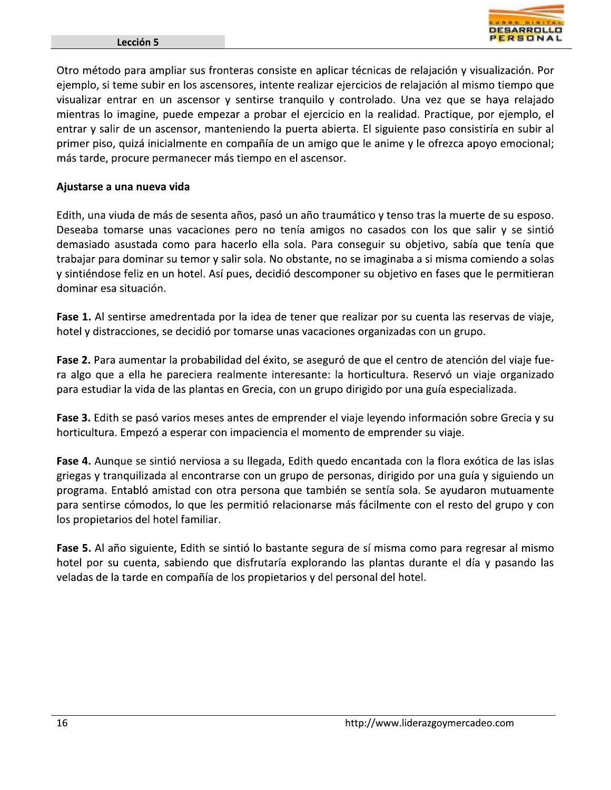

Otro método para ampliar sus fronteras consiste en aplicar técnicas de relajación y visualización. Por ejemplo, si teme subir en los ascensores, intente realizar ejercicios de relajación al mismo tiempo que visualizar entrar en un ascensor y sentirse tranquilo y controlado. Una vez que se haya relajado mientras lo imagine, puede empezar a probar el ejercicio en la realidad. Practique, por ejemplo, el entrar y salir de un ascensor, manteniendo la puerta abierta. El siguiente paso consistiría en subir al primer piso, quizá inicialmente en compañía de un amigo que le anime y le ofrezca apoyo emocional; más tarde, procure permanecer más tiempo en el ascensor.

### Ajustarse a una nueva vida

Edith, una viuda de más de sesenta años, pasó un año traumático y tenso tras la muerte de su esposo. Deseaba tomarse unas vacaciones pero no tenía amigos no casados con los que salir y se sintió demasiado asustada como para hacerlo ella sola. Para conseguir su objetivo, sabía que tenía que trabajar para dominar su temor y salir sola. No obstante, no se imaginaba a si misma comiendo a solas y sintiéndose feliz en un hotel. Así pues, decidió descomponer su objetivo en fases que le permitieran dominar esa situación.

Fase 1. Al sentirse amedrentada por la idea de tener que realizar por su cuenta las reservas de viaje, hotel y distracciones, se decidió por tomarse unas vacaciones organizadas con un grupo.

Fase 2. Para aumentar la probabilidad del éxito, se aseguró de que el centro de atención del viaje fuera algo que a ella he pareciera realmente interesante: la horticultura. Reservó un viaje organizado para estudiar la vida de las plantas en Grecia, con un grupo dirigido por una guía especializada.

Fase 3. Edith se pasó varios meses antes de emprender el viaje leyendo información sobre Grecia y su horticultura. Empezó a esperar con impaciencia el momento de emprender su viaje.

Fase 4. Aunque se sintió nerviosa a su llegada, Edith quedo encantada con la flora exótica de las islas griegas y tranquilizada al encontrarse con un grupo de personas, dirigido por una guía y siguiendo un programa. Entabló amistad con otra persona que también se sentía sola. Se ayudaron mutuamente para sentirse cómodos, lo que les permitió relacionarse más fácilmente con el resto del grupo y con los propietarios del hotel familiar.

Fase 5. Al año siguiente, Edith se sintió lo bastante segura de sí misma como para regresar al mismo hotel por su cuenta, sabiendo que disfrutaría explorando las plantas durante el día y pasando las veladas de la tarde en compañía de los propietarios y del personal del hotel.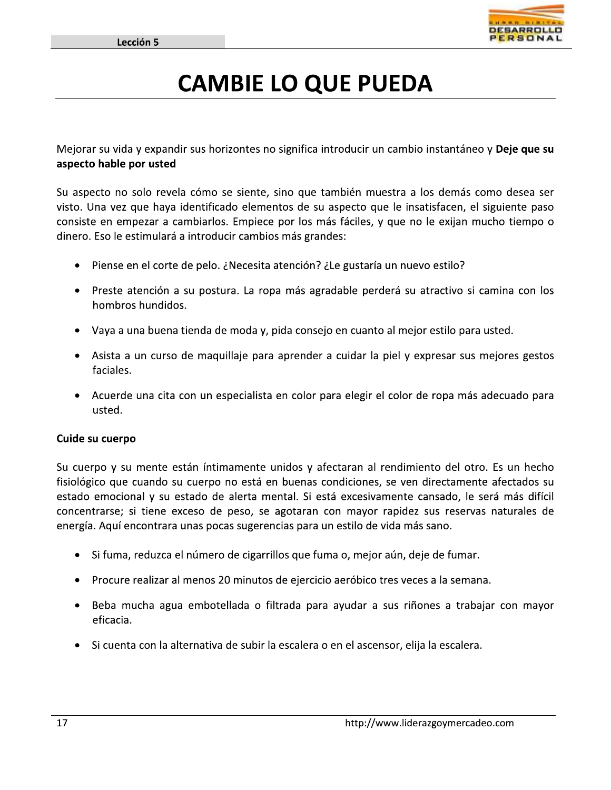

### **CAMBIE LO QUE PUEDA**

Mejorar su vida y expandir sus horizontes no significa introducir un cambio instantáneo y **Deje que su** aspecto hable por usted

Su aspecto no solo revela cómo se siente, sino que también muestra a los demás como desea ser visto. Una vez que haya identificado elementos de su aspecto que le insatisfacen, el siguiente paso consiste en empezar a cambiarlos. Empiece por los más fáciles, y que no le exijan mucho tiempo o dinero. Eso le estimulará a introducir cambios más grandes:

- Piense en el corte de pelo. ¿Necesita atención? ¿Le gustaría un nuevo estilo?
- Preste atención a su postura. La ropa más agradable perderá su atractivo si camina con los hombros hundidos.
- Vaya a una buena tienda de moda y, pida consejo en cuanto al mejor estilo para usted.
- Asista a un curso de maquillaje para aprender a cuidar la piel y expresar sus mejores gestos faciales.
- Acuerde una cita con un especialista en color para elegir el color de ropa más adecuado para usted.

#### Cuide su cuerpo

Su cuerpo y su mente están íntimamente unidos y afectaran al rendimiento del otro. Es un hecho fisiológico que cuando su cuerpo no está en buenas condiciones, se ven directamente afectados su estado emocional y su estado de alerta mental. Si está excesivamente cansado, le será más difícil concentrarse; si tiene exceso de peso, se agotaran con mayor rapidez sus reservas naturales de energía. Aquí encontrara unas pocas sugerencias para un estilo de vida más sano.

- · Si fuma, reduzca el número de cigarrillos que fuma o, mejor aún, deje de fumar.
- Procure realizar al menos 20 minutos de ejercicio aeróbico tres veces a la semana.
- Beba mucha agua embotellada o filtrada para ayudar a sus riñones a trabajar con mayor eficacia.
- Si cuenta con la alternativa de subir la escalera o en el ascensor, elija la escalera.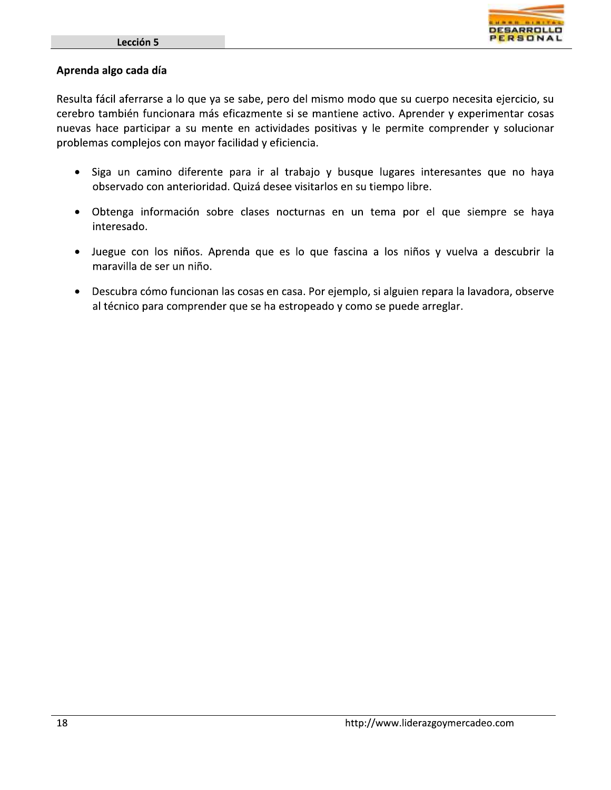### Aprenda algo cada día

Resulta fácil aferrarse a lo que ya se sabe, pero del mismo modo que su cuerpo necesita ejercicio, su cerebro también funcionara más eficazmente si se mantiene activo. Aprender y experimentar cosas nuevas hace participar a su mente en actividades positivas y le permite comprender y solucionar problemas complejos con mayor facilidad y eficiencia.

- · Siga un camino diferente para ir al trabajo y busque lugares interesantes que no haya observado con anterioridad. Quizá desee visitarlos en su tiempo libre.
- Obtenga información sobre clases nocturnas en un tema por el que siempre se haya interesado.
- · Juegue con los niños. Aprenda que es lo que fascina a los niños y vuelva a descubrir la maravilla de ser un niño.
- Descubra cómo funcionan las cosas en casa. Por ejemplo, si alguien repara la lavadora, observe al técnico para comprender que se ha estropeado y como se puede arreglar.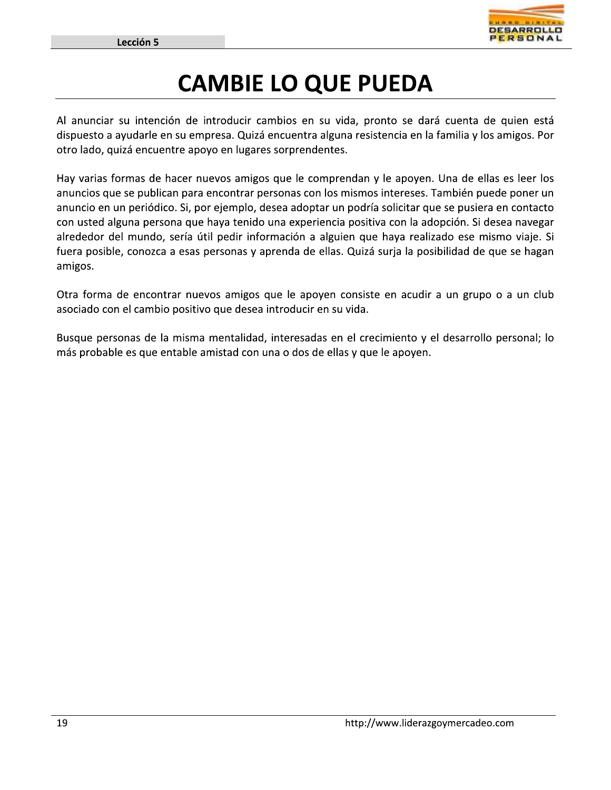

### **CAMBIE LO QUE PUEDA**

Al anunciar su intención de introducir cambios en su vida, pronto se dará cuenta de quien está dispuesto a ayudarle en su empresa. Quizá encuentra alguna resistencia en la familia y los amigos. Por otro lado, quizá encuentre apoyo en lugares sorprendentes.

Hay varias formas de hacer nuevos amigos que le comprendan y le apoyen. Una de ellas es leer los anuncios que se publican para encontrar personas con los mismos intereses. También puede poner un anuncio en un periódico. Si, por ejemplo, desea adoptar un podría solicitar que se pusiera en contacto con usted alguna persona que haya tenido una experiencia positiva con la adopción. Si desea navegar alrededor del mundo, sería útil pedir información a alguien que haya realizado ese mismo viaje. Si fuera posible, conozca a esas personas y aprenda de ellas. Quizá surja la posibilidad de que se hagan amigos.

Otra forma de encontrar nuevos amigos que le apoyen consiste en acudir a un grupo o a un club asociado con el cambio positivo que desea introducir en su vida.

Busque personas de la misma mentalidad, interesadas en el crecimiento y el desarrollo personal; lo más probable es que entable amistad con una o dos de ellas y que le apoyen.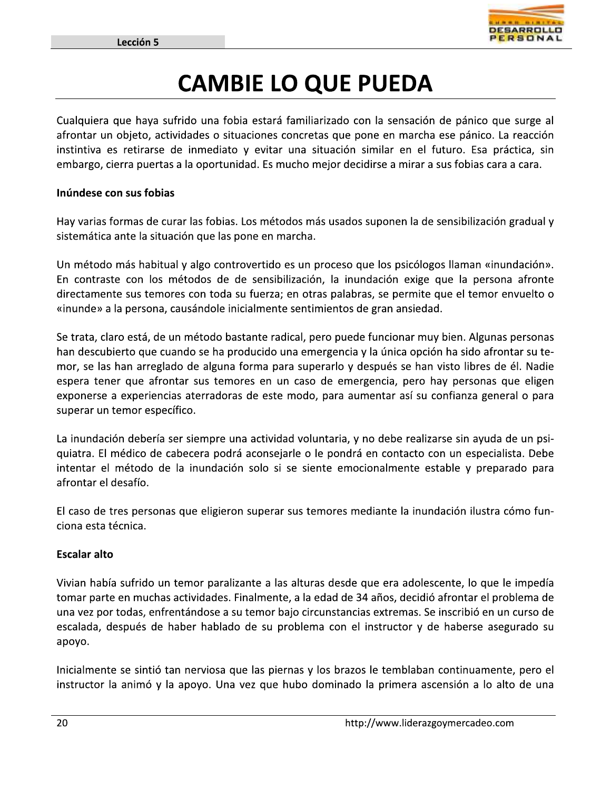

### **CAMBIE LO QUE PUEDA**

Cualquiera que haya sufrido una fobia estará familiarizado con la sensación de pánico que surge al afrontar un objeto, actividades o situaciones concretas que pone en marcha ese pánico. La reacción instintiva es retirarse de inmediato y evitar una situación similar en el futuro. Esa práctica, sin embargo, cierra puertas a la oportunidad. Es mucho mejor decidirse a mirar a sus fobias cara a cara.

### Inúndese con sus fobias

Hay varias formas de curar las fobias. Los métodos más usados suponen la de sensibilización gradual y sistemática ante la situación que las pone en marcha.

Un método más habitual y algo controvertido es un proceso que los psicólogos llaman «inundación». En contraste con los métodos de de sensibilización, la inundación exige que la persona afronte directamente sus temores con toda su fuerza; en otras palabras, se permite que el temor envuelto o «inunde» a la persona, causándole inicialmente sentimientos de gran ansiedad.

Se trata, claro está, de un método bastante radical, pero puede funcionar muy bien. Algunas personas han descubierto que cuando se ha producido una emergencia y la única opción ha sido afrontar su temor, se las han arreglado de alguna forma para superarlo y después se han visto libres de él. Nadie espera tener que afrontar sus temores en un caso de emergencia, pero hay personas que eligen exponerse a experiencias aterradoras de este modo, para aumentar así su confianza general o para superar un temor específico.

La inundación debería ser siempre una actividad voluntaria, y no debe realizarse sin ayuda de un psiquiatra. El médico de cabecera podrá aconsejarle o le pondrá en contacto con un especialista. Debe intentar el método de la inundación solo si se siente emocionalmente estable y preparado para afrontar el desafío.

El caso de tres personas que eligieron superar sus temores mediante la inundación ilustra cómo funciona esta técnica.

### **Escalar alto**

Vivian había sufrido un temor paralizante a las alturas desde que era adolescente, lo que le impedía tomar parte en muchas actividades. Finalmente, a la edad de 34 años, decidió afrontar el problema de una vez por todas, enfrentándose a su temor bajo circunstancias extremas. Se inscribió en un curso de escalada, después de haber hablado de su problema con el instructor y de haberse asegurado su apoyo.

Inicialmente se sintió tan nerviosa que las piernas y los brazos le temblaban continuamente, pero el instructor la animó y la apoyo. Una vez que hubo dominado la primera ascensión a lo alto de una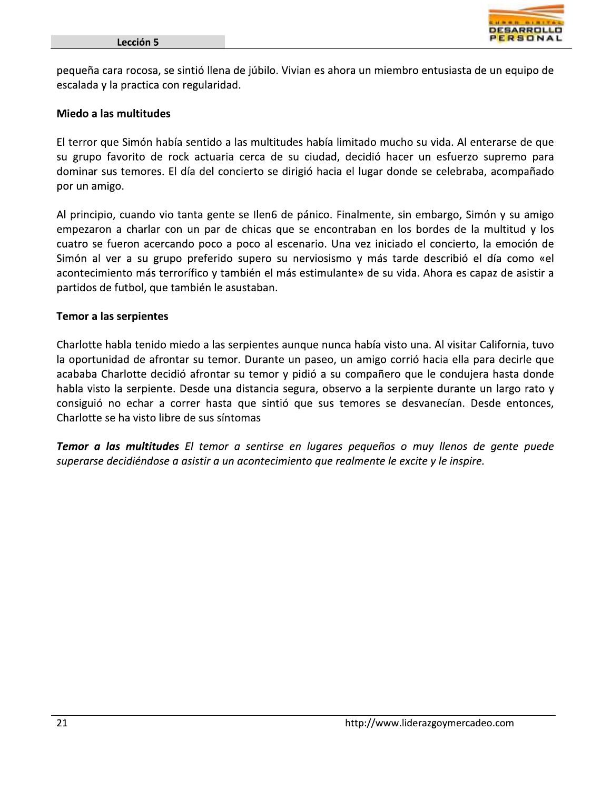

pequeña cara rocosa, se sintió llena de júbilo. Vivian es ahora un miembro entusiasta de un equipo de escalada y la practica con regularidad.

### Miedo a las multitudes

El terror que Simón había sentido a las multitudes había limitado mucho su vida. Al enterarse de que su grupo favorito de rock actuaria cerca de su ciudad, decidió hacer un esfuerzo supremo para dominar sus temores. El día del concierto se dirigió hacia el lugar donde se celebraba, acompañado por un amigo.

Al principio, cuando vio tanta gente se llen6 de pánico. Finalmente, sin embargo, Simón y su amigo empezaron a charlar con un par de chicas que se encontraban en los bordes de la multitud y los cuatro se fueron acercando poco a poco al escenario. Una vez iniciado el concierto, la emoción de Simón al ver a su grupo preferido supero su nerviosismo y más tarde describió el día como «el acontecimiento más terrorífico y también el más estimulante» de su vida. Ahora es capaz de asistir a partidos de futbol, que también le asustaban.

### **Temor a las serpientes**

Charlotte habla tenido miedo a las serpientes aunque nunca había visto una. Al visitar California, tuvo la oportunidad de afrontar su temor. Durante un paseo, un amigo corrió hacia ella para decirle que acababa Charlotte decidió afrontar su temor y pidió a su compañero que le condujera hasta donde habla visto la serpiente. Desde una distancia segura, observo a la serpiente durante un largo rato y consiguió no echar a correr hasta que sintió que sus temores se desvanecían. Desde entonces, Charlotte se ha visto libre de sus síntomas

Temor a las multitudes El temor a sentirse en lugares pequeños o muy llenos de gente puede superarse decidiéndose a asistir a un acontecimiento que realmente le excite y le inspire.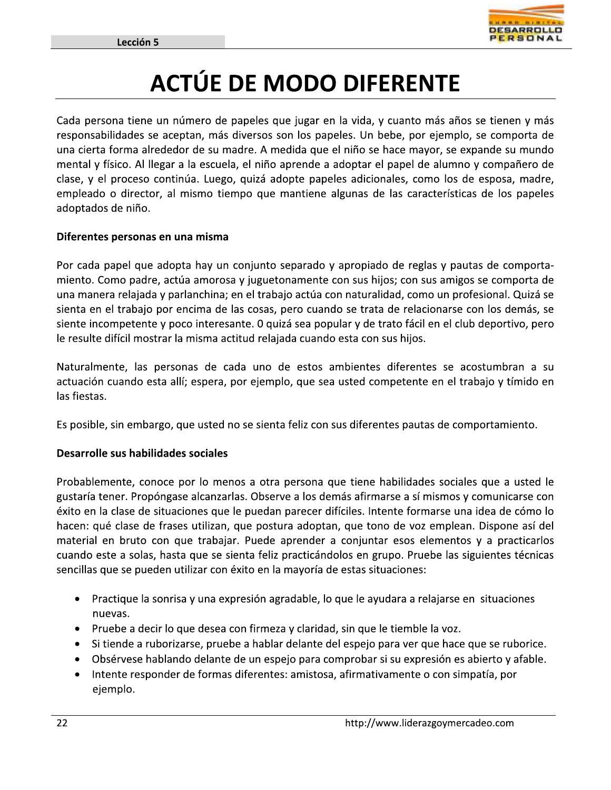

## **ACTÚE DE MODO DIFERENTE**

Cada persona tiene un número de papeles que jugar en la vida, y cuanto más años se tienen y más responsabilidades se aceptan, más diversos son los papeles. Un bebe, por ejemplo, se comporta de una cierta forma alrededor de su madre. A medida que el niño se hace mayor, se expande su mundo mental y físico. Al llegar a la escuela, el niño aprende a adoptar el papel de alumno y compañero de clase, y el proceso continúa. Luego, quizá adopte papeles adicionales, como los de esposa, madre, empleado o director, al mismo tiempo que mantiene algunas de las características de los papeles adoptados de niño.

### Diferentes personas en una misma

Por cada papel que adopta hay un conjunto separado y apropiado de reglas y pautas de comportamiento. Como padre, actúa amorosa y juguetonamente con sus hijos; con sus amigos se comporta de una manera relajada y parlanchina; en el trabajo actúa con naturalidad, como un profesional. Quizá se sienta en el trabajo por encima de las cosas, pero cuando se trata de relacionarse con los demás, se siente incompetente y poco interesante. O quizá sea popular y de trato fácil en el club deportivo, pero le resulte difícil mostrar la misma actitud relajada cuando esta con sus hijos.

Naturalmente, las personas de cada uno de estos ambientes diferentes se acostumbran a su actuación cuando esta allí; espera, por ejemplo, que sea usted competente en el trabajo y tímido en las fiestas.

Es posible, sin embargo, que usted no se sienta feliz con sus diferentes pautas de comportamiento.

### Desarrolle sus habilidades sociales

Probablemente, conoce por lo menos a otra persona que tiene habilidades sociales que a usted le gustaría tener. Propóngase alcanzarlas. Observe a los demás afirmarse a sí mismos y comunicarse con éxito en la clase de situaciones que le puedan parecer difíciles. Intente formarse una idea de cómo lo hacen: qué clase de frases utilizan, que postura adoptan, que tono de voz emplean. Dispone así del material en bruto con que trabajar. Puede aprender a conjuntar esos elementos y a practicarlos cuando este a solas, hasta que se sienta feliz practicándolos en grupo. Pruebe las siguientes técnicas sencillas que se pueden utilizar con éxito en la mayoría de estas situaciones:

- Practique la sonrisa y una expresión agradable, lo que le ayudara a relajarse en situaciones  $\bullet$ nuevas.
- Pruebe a decir lo que desea con firmeza y claridad, sin que le tiemble la voz.
- Si tiende a ruborizarse, pruebe a hablar delante del espejo para ver que hace que se ruborice.
- Obsérvese hablando delante de un espejo para comprobar si su expresión es abierto y afable.
- Intente responder de formas diferentes: amistosa, afirmativamente o con simpatía, por ejemplo.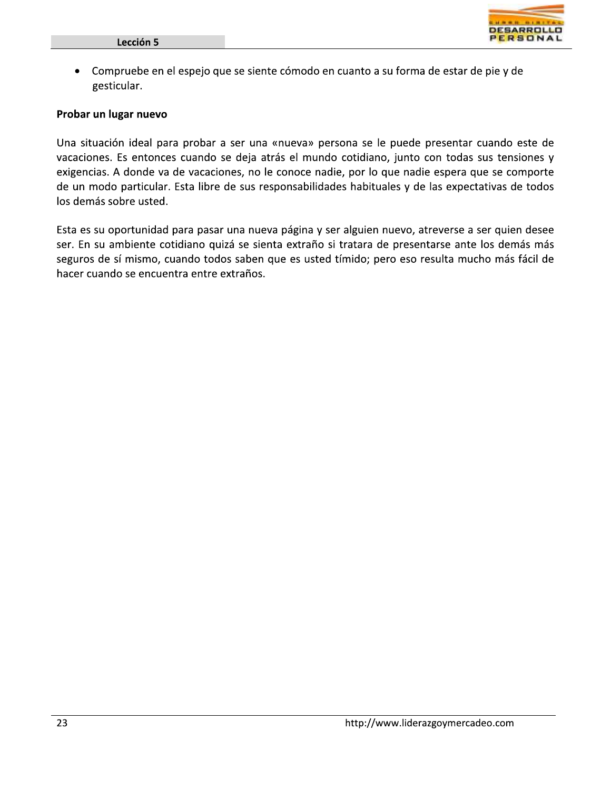

• Compruebe en el espejo que se siente cómodo en cuanto a su forma de estar de pie y de gesticular.

### Probar un lugar nuevo

Una situación ideal para probar a ser una «nueva» persona se le puede presentar cuando este de vacaciones. Es entonces cuando se deja atrás el mundo cotidiano, junto con todas sus tensiones y exigencias. A donde va de vacaciones, no le conoce nadie, por lo que nadie espera que se comporte de un modo particular. Esta libre de sus responsabilidades habituales y de las expectativas de todos los demás sobre usted.

Esta es su oportunidad para pasar una nueva página y ser alguien nuevo, atreverse a ser quien desee ser. En su ambiente cotidiano quizá se sienta extraño si tratara de presentarse ante los demás más seguros de sí mismo, cuando todos saben que es usted tímido; pero eso resulta mucho más fácil de hacer cuando se encuentra entre extraños.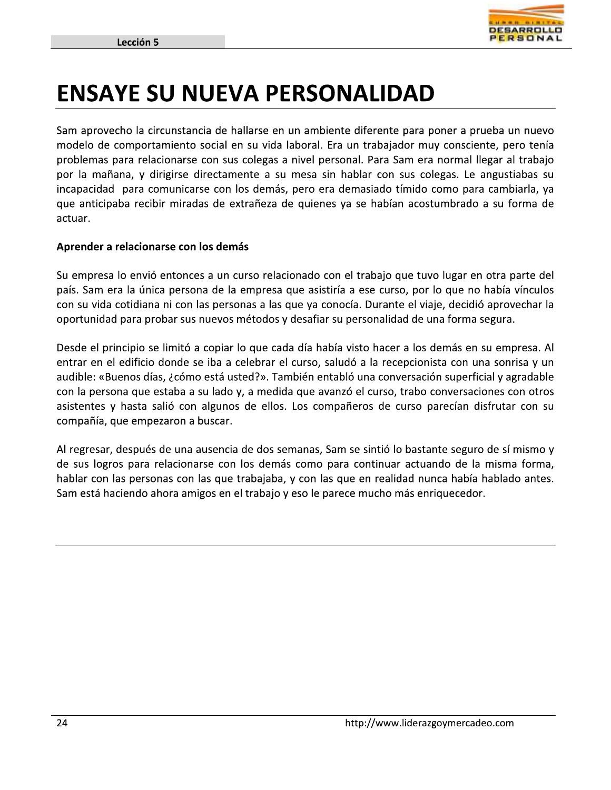

### **ENSAYE SU NUEVA PERSONALIDAD**

Sam aprovecho la circunstancia de hallarse en un ambiente diferente para poner a prueba un nuevo modelo de comportamiento social en su vida laboral. Era un trabajador muy consciente, pero tenía problemas para relacionarse con sus colegas a nivel personal. Para Sam era normal llegar al trabajo por la mañana, y dirigirse directamente a su mesa sin hablar con sus colegas. Le angustiabas su incapacidad para comunicarse con los demás, pero era demasiado tímido como para cambiarla, ya que anticipaba recibir miradas de extrañeza de quienes ya se habían acostumbrado a su forma de actuar.

### Aprender a relacionarse con los demás

Su empresa lo envió entonces a un curso relacionado con el trabajo que tuvo lugar en otra parte del país. Sam era la única persona de la empresa que asistiría a ese curso, por lo que no había vínculos con su vida cotidiana ni con las personas a las que ya conocía. Durante el viaje, decidió aprovechar la oportunidad para probar sus nuevos métodos y desafiar su personalidad de una forma segura.

Desde el principio se limitó a copiar lo que cada día había visto hacer a los demás en su empresa. Al entrar en el edificio donde se iba a celebrar el curso, saludó a la recepcionista con una sonrisa y un audible: «Buenos días, ¿cómo está usted?». También entabló una conversación superficial y agradable con la persona que estaba a su lado y, a medida que avanzó el curso, trabo conversaciones con otros asistentes y hasta salió con algunos de ellos. Los compañeros de curso parecían disfrutar con su compañía, que empezaron a buscar.

Al regresar, después de una ausencia de dos semanas, Sam se sintió lo bastante seguro de sí mismo y de sus logros para relacionarse con los demás como para continuar actuando de la misma forma, hablar con las personas con las que trabajaba, y con las que en realidad nunca había hablado antes. Sam está haciendo ahora amigos en el trabajo y eso le parece mucho más enriquecedor.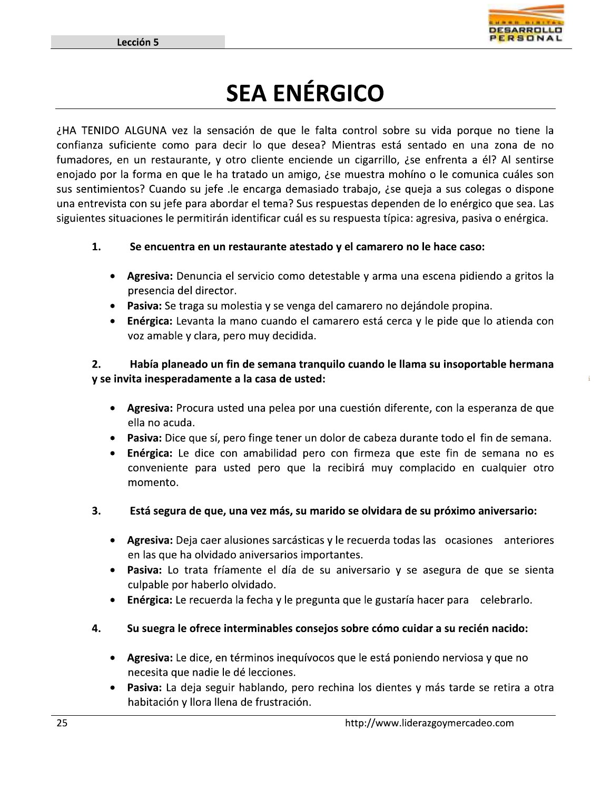

 $\mathbf{I}_{\mathcal{A}}$ 

Example de Control de la producción de la producción de la producción de la producción de la producción de la producción de que la fata contrata sofá estudo en una zona de la producción de la producción de que la fata cont

### uentra en un restaurante atestado y el camarero no le hace caso:

- Agresiva: Denuncia el servicio como detestable y arma una escena pidiendo a gritos la presencia del director.
- Pasiva: Se traga su molestia y se venga del camarero no dejándole propina.
- $\bullet$  Energica: Levanta la mano cuando el camarero esta cerca y le pide que lo atienda con voz amable y clara, pero muy decidida.

### 2. Habia planeado un fin de semana tranquilo cuando le llama su insoportable hermana y se invita inesperadamente a la casa de usted:

- Agresiva: Procura usted una pelea por una cuestión diferente, con la esperanza de que ella no acuda.
- Pasiva: Dice que sí, pero finge tener un dolor de cabeza durante todo el fin de semana.
- $\bullet$  Energica: Le dice con amabilidad pero con firmeza que este fin de semana no es conveniente para usted pero que la recibirá muy complacido en cualquier otro momento.
- 3. Está segura de que, una vez más, su marido se olvidara de su próximo aniversario:
	- Agresiva: Deja caer alusiones sarcásticas y le recuerda todas las ocasiones anteriores en las que ha olvidado aniversarios importantes.
	- Pasiva: Lo trata fríamente el día de su aniversario y se asegura de que se sienta culpable por haberlo olvidado.
	- $\bullet$  Energica: Le recuerda la fecha y le pregunta que le gustaria hacer para celebrario.
- 4. Su suegra le ofrece interminables consejos sobre como cuidar a su recien nacido:
	- Agresiva: Le dice, en términos inequívocos que le está poniendo nerviosa y que no necesita que nadie le dé lecciones.
	- Pasiva: La deja seguir hablando, pero rechina los dientes y más tarde se retira a otra habitación y llora llena de frustración.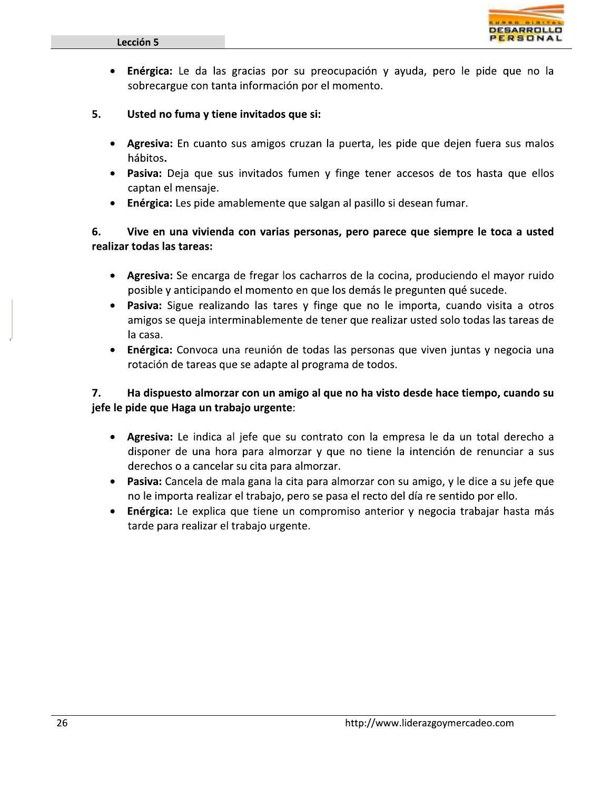

- Enérgica: Le da las gracias por su preocupación y ayuda, pero le pide que no la  $\bullet$ sobrecargue con tanta información por el momento.
- 5. Usted no fuma y tiene invitados que si:
	- Agresiva: En cuanto sus amigos cruzan la puerta, les pide que dejen fuera sus malos hábitos.
	- Pasiva: Deja que sus invitados fumen y finge tener accesos de tos hasta que ellos captan el mensaje.
	- Enérgica: Les pide amablemente que salgan al pasillo si desean fumar.

6. Vive en una vivienda con varias personas, pero parece que siempre le toca a usted realizar todas las tareas:

- Agresiva: Se encarga de fregar los cacharros de la cocina, produciendo el mayor ruido posible y anticipando el momento en que los demás le pregunten qué sucede.
- Pasiva: Sigue realizando las tares y finge que no le importa, cuando visita a otros amigos se queja interminablemente de tener que realizar usted solo todas las tareas de la casa.
- Enérgica: Convoca una reunión de todas las personas que viven juntas y negocia una  $\bullet$ rotación de tareas que se adapte al programa de todos.

#### 7. Ha dispuesto almorzar con un amigo al que no ha visto desde hace tiempo, cuando su jefe le pide que Haga un trabajo urgente:

- $\bullet$ Agresiva: Le indica al jefe que su contrato con la empresa le da un total derecho a disponer de una hora para almorzar y que no tiene la intención de renunciar a sus derechos o a cancelar su cita para almorzar.
- Pasiva: Cancela de mala gana la cita para almorzar con su amigo, y le dice a su jefe que  $\bullet$ no le importa realizar el trabajo, pero se pasa el recto del día re sentido por ello.
- Enérgica: Le explica que tiene un compromiso anterior y negocia trabajar hasta más  $\bullet$ tarde para realizar el trabajo urgente.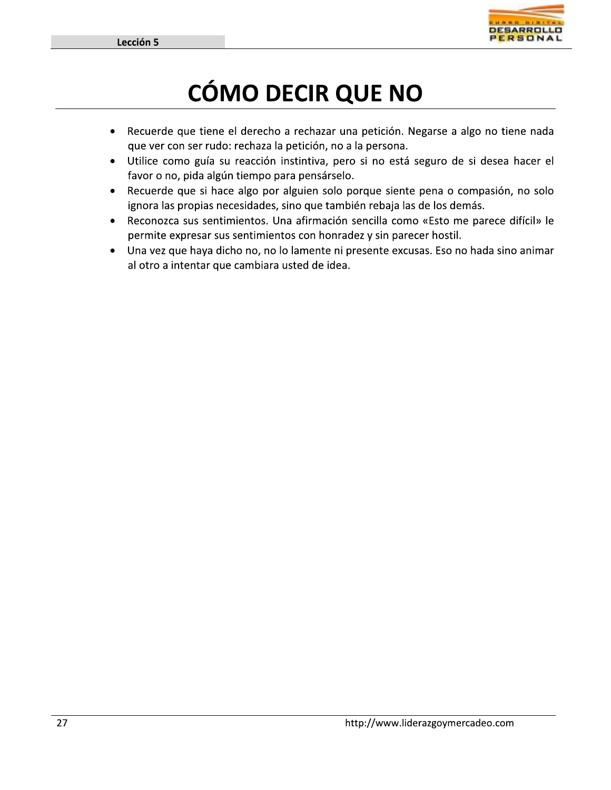

## **CÓMO DECIR QUE NO**

- Recuerde que tiene el derecho a rechazar una petición. Negarse a algo no tiene nada  $\bullet$ que ver con ser rudo: rechaza la petición, no a la persona.
- Utilice como guía su reacción instintiva, pero si no está seguro de si desea hacer el  $\bullet$ favor o no, pida algún tiempo para pensárselo.
- Recuerde que si hace algo por alguien solo porque siente pena o compasión, no solo  $\bullet$ ignora las propias necesidades, sino que también rebaja las de los demás.
- Reconozca sus sentimientos. Una afirmación sencilla como «Esto me parece difícil» le  $\bullet$ permite expresar sus sentimientos con honradez y sin parecer hostil.
- Una vez que haya dicho no, no lo lamente ni presente excusas. Eso no hada sino animar  $\bullet$ al otro a intentar que cambiara usted de idea.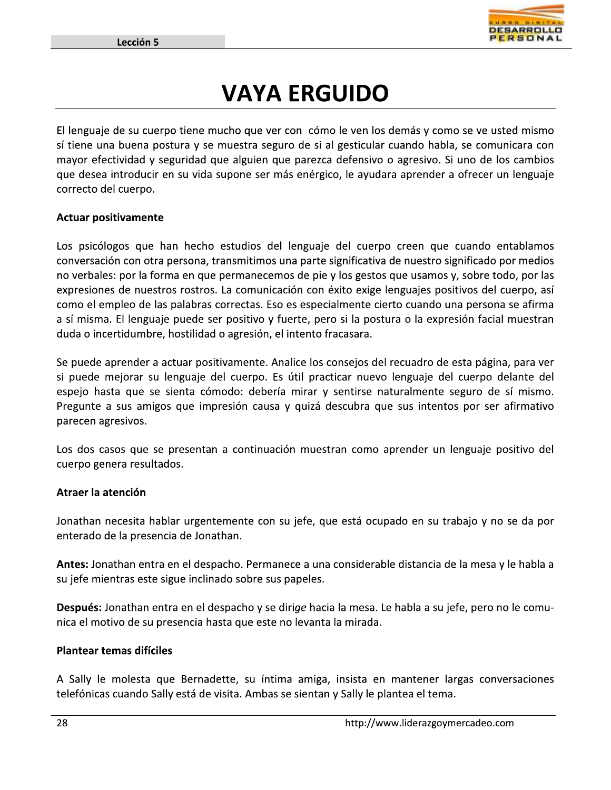

### **VAYA ERGUIDO**

El lenguaje de su cuerpo tiene mucho que ver con cómo le ven los demás y como se ve usted mismo sí tiene una buena postura y se muestra seguro de si al gesticular cuando habla, se comunicara con mayor efectividad y seguridad que alguien que parezca defensivo o agresivo. Si uno de los cambios que desea introducir en su vida supone ser más enérgico, le ayudara aprender a ofrecer un lenguaje correcto del cuerpo.

### **Actuar positivamente**

Los psicólogos que han hecho estudios del lenguaje del cuerpo creen que cuando entablamos conversación con otra persona, transmitimos una parte significativa de nuestro significado por medios no verbales: por la forma en que permanecemos de pie y los gestos que usamos y, sobre todo, por las expresiones de nuestros rostros. La comunicación con éxito exige lenguajes positivos del cuerpo, así como el empleo de las palabras correctas. Eso es especialmente cierto cuando una persona se afirma a sí misma. El lenguaje puede ser positivo y fuerte, pero si la postura o la expresión facial muestran duda o incertidumbre, hostilidad o agresión, el intento fracasara.

Se puede aprender a actuar positivamente. Analice los consejos del recuadro de esta página, para ver si puede mejorar su lenguaje del cuerpo. Es útil practicar nuevo lenguaje del cuerpo delante del espejo hasta que se sienta cómodo: debería mirar y sentirse naturalmente seguro de sí mismo. Pregunte a sus amigos que impresión causa y quizá descubra que sus intentos por ser afirmativo parecen agresivos.

Los dos casos que se presentan a continuación muestran como aprender un lenguaje positivo del cuerpo genera resultados.

### Atraer la atención

Jonathan necesita hablar urgentemente con su jefe, que está ocupado en su trabajo y no se da por enterado de la presencia de Jonathan.

Antes: Jonathan entra en el despacho. Permanece a una considerable distancia de la mesa y le habla a su jefe mientras este sigue inclinado sobre sus papeles.

Después: Jonathan entra en el despacho y se dirige hacia la mesa. Le habla a su jefe, pero no le comunica el motivo de su presencia hasta que este no levanta la mirada.

#### **Plantear temas difíciles**

A Sally le molesta que Bernadette, su íntima amiga, insista en mantener largas conversaciones telefónicas cuando Sally está de visita. Ambas se sientan y Sally le plantea el tema.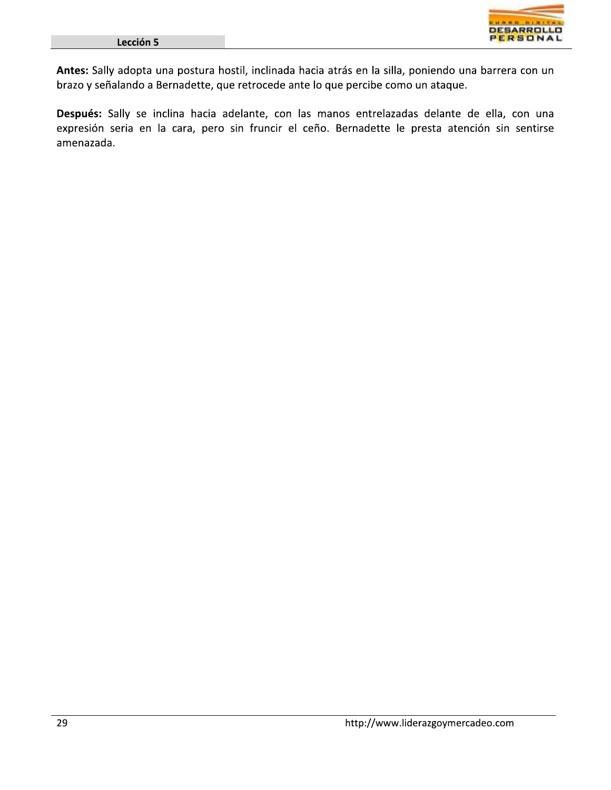

Antes: Sally adopta una postura hostil, inclinada hacia atrás en la silla, poniendo una barrera con un brazo y señalando a Bernadette, que retrocede ante lo que percibe como un ataque.

Después: Sally se inclina hacia adelante, con las manos entrelazadas delante de ella, con una expresión seria en la cara, pero sin fruncir el ceño. Bernadette le presta atención sin sentirse amenazada.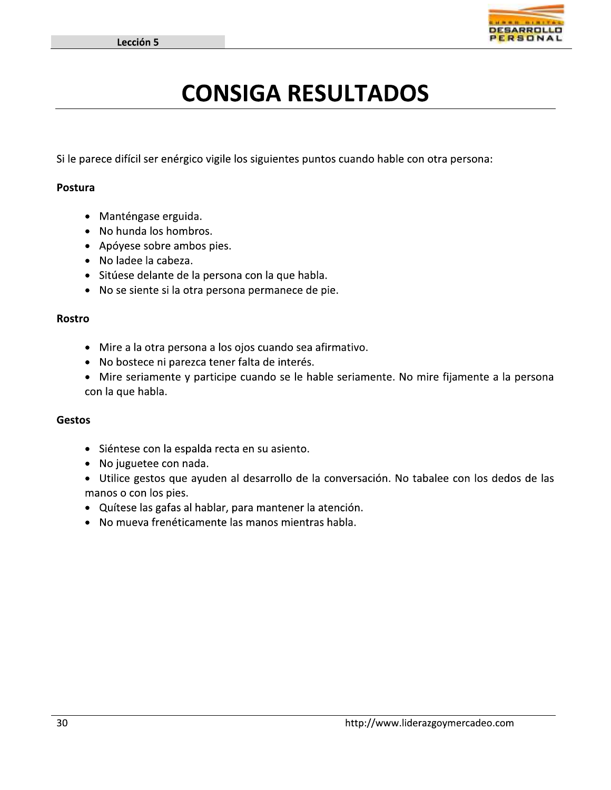

### **CONSIGA RESULTADOS**

Si le parece difícil ser enérgico vigile los siguientes puntos cuando hable con otra persona:

#### Postura

- · Manténgase erguida.
- No hunda los hombros.
- Apóyese sobre ambos pies.
- No ladee la cabeza.
- · Sitúese delante de la persona con la que habla.
- No se siente si la otra persona permanece de pie.

#### **Rostro**

- · Mire a la otra persona a los ojos cuando sea afirmativo.
- No bostece ni parezca tener falta de interés.
- Mire seriamente y participe cuando se le hable seriamente. No mire fijamente a la persona con la que habla.

#### **Gestos**

- · Siéntese con la espalda recta en su asiento.
- No juguetee con nada.
- · Utilice gestos que ayuden al desarrollo de la conversación. No tabalee con los dedos de las manos o con los pies.
- · Quítese las gafas al hablar, para mantener la atención.
- No mueva frenéticamente las manos mientras habla.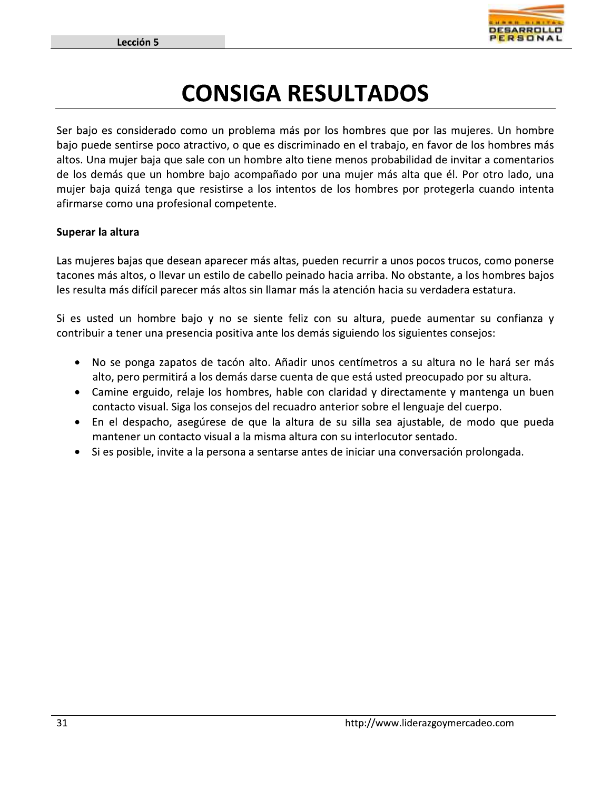

### **CONSIGA RESULTADOS**

Ser bajo es considerado como un problema más por los hombres que por las mujeres. Un hombre bajo puede sentirse poco atractivo, o que es discriminado en el trabajo, en favor de los hombres más altos. Una mujer baja que sale con un hombre alto tiene menos probabilidad de invitar a comentarios de los demás que un hombre bajo acompañado por una mujer más alta que él. Por otro lado, una mujer baja quizá tenga que resistirse a los intentos de los hombres por protegerla cuando intenta afirmarse como una profesional competente.

### Superar la altura

Las mujeres bajas que desean aparecer más altas, pueden recurrir a unos pocos trucos, como ponerse tacones más altos, o llevar un estilo de cabello peinado hacia arriba. No obstante, a los hombres bajos les resulta más difícil parecer más altos sin llamar más la atención hacia su verdadera estatura.

Si es usted un hombre bajo y no se siente feliz con su altura, puede aumentar su confianza y contribuir a tener una presencia positiva ante los demás siguiendo los siguientes consejos:

- No se ponga zapatos de tacón alto. Añadir unos centímetros a su altura no le hará ser más alto, pero permitirá a los demás darse cuenta de que está usted preocupado por su altura.
- Camine erguido, relaje los hombres, hable con claridad y directamente y mantenga un buen contacto visual. Siga los consejos del recuadro anterior sobre el lenguaje del cuerpo.
- · En el despacho, asegúrese de que la altura de su silla sea ajustable, de modo que pueda mantener un contacto visual a la misma altura con su interlocutor sentado.
- Si es posible, invite a la persona a sentarse antes de iniciar una conversación prolongada.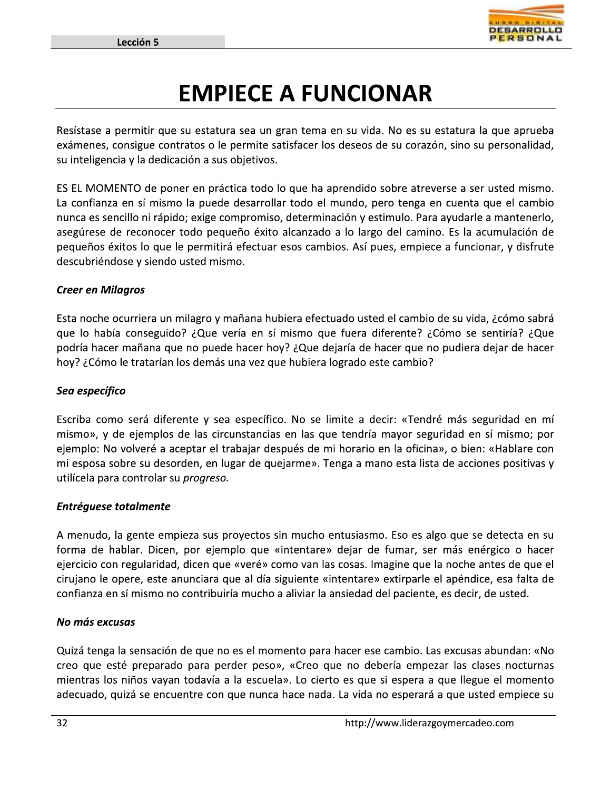

### **EMPIECE A FUNCIONAR**

Resístase a permitir que su estatura sea un gran tema en su vida. No es su estatura la que aprueba exámenes, consigue contratos o le permite satisfacer los deseos de su corazón, sino su personalidad, su inteligencia y la dedicación a sus objetivos.

ES EL MOMENTO de poner en práctica todo lo que ha aprendido sobre atreverse a ser usted mismo. La confianza en sí mismo la puede desarrollar todo el mundo, pero tenga en cuenta que el cambio nunca es sencillo ni rápido; exige compromiso, determinación y estimulo. Para ayudarle a mantenerlo, asegúrese de reconocer todo pequeño éxito alcanzado a lo largo del camino. Es la acumulación de pequeños éxitos lo que le permitirá efectuar esos cambios. Así pues, empiece a funcionar, y disfrute descubriéndose y siendo usted mismo.

### **Creer en Milagros**

Esta noche ocurriera un milagro y mañana hubiera efectuado usted el cambio de su vida, ¿cómo sabrá que lo había conseguido? ¿Que vería en sí mismo que fuera diferente? ¿Cómo se sentiría? ¿Que podría hacer mañana que no puede hacer hoy? ¿Que dejaría de hacer que no pudiera dejar de hacer hoy? ¿Cómo le tratarían los demás una vez que hubiera logrado este cambio?

### Sea específico

Escriba como será diferente y sea específico. No se limite a decir: «Tendré más seguridad en mí mismo», y de ejemplos de las circunstancias en las que tendría mayor seguridad en sí mismo; por ejemplo: No volveré a aceptar el trabajar después de mi horario en la oficina», o bien: «Hablare con mi esposa sobre su desorden, en lugar de quejarme». Tenga a mano esta lista de acciones positivas y utilícela para controlar su *progreso*.

### **Entréguese totalmente**

A menudo, la gente empieza sus proyectos sin mucho entusiasmo. Eso es algo que se detecta en su forma de hablar. Dicen, por ejemplo que «intentare» dejar de fumar, ser más enérgico o hacer ejercicio con regularidad, dicen que «veré» como van las cosas. Imagine que la noche antes de que el cirujano le opere, este anunciara que al día siguiente «intentare» extirparle el apéndice, esa falta de confianza en sí mismo no contribuiría mucho a aliviar la ansiedad del paciente, es decir, de usted.

#### No más excusas

Quizá tenga la sensación de que no es el momento para hacer ese cambio. Las excusas abundan: «No creo que esté preparado para perder peso», «Creo que no debería empezar las clases nocturnas mientras los niños vayan todavía a la escuela». Lo cierto es que si espera a que llegue el momento adecuado, quizá se encuentre con que nunca hace nada. La vida no esperará a que usted empiece su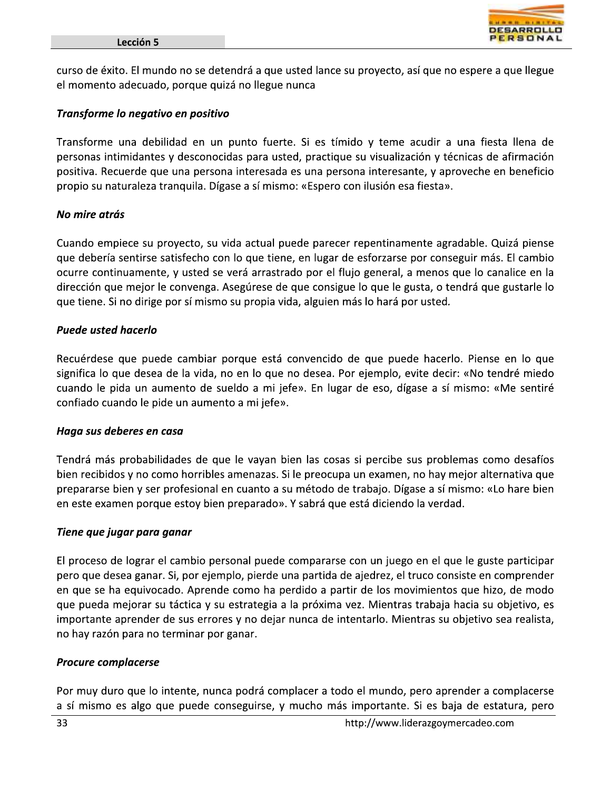

curso de éxito. El mundo no se detendrá a que usted lance su proyecto, así que no espere a que llegue el momento adecuado, porque quizá no llegue nunca

### Transforme lo negativo en positivo

Transforme una debilidad en un punto fuerte. Si es tímido y teme acudir a una fiesta llena de personas intimidantes y desconocidas para usted, practique su visualización y técnicas de afirmación positiva. Recuerde que una persona interesada es una persona interesante, y aproveche en beneficio propio su naturaleza tranquila. Dígase a sí mismo: «Espero con ilusión esa fiesta».

### No mire atrás

Cuando empiece su proyecto, su vida actual puede parecer repentinamente agradable. Quizá piense que debería sentirse satisfecho con lo que tiene, en lugar de esforzarse por conseguir más. El cambio ocurre continuamente, y usted se verá arrastrado por el flujo general, a menos que lo canalice en la dirección que mejor le convenga. Asegúrese de que consigue lo que le gusta, o tendrá que gustarle lo que tiene. Si no dirige por sí mismo su propia vida, alguien más lo hará por usted.

### **Puede usted hacerlo**

Recuérdese que puede cambiar porque está convencido de que puede hacerlo. Piense en lo que significa lo que desea de la vida, no en lo que no desea. Por ejemplo, evite decir: «No tendré miedo cuando le pida un aumento de sueldo a mi jefe». En lugar de eso, dígase a sí mismo: «Me sentiré confiado cuando le pide un aumento a mi jefe».

### Haga sus deberes en casa

Tendrá más probabilidades de que le vayan bien las cosas si percibe sus problemas como desafíos bien recibidos y no como horribles amenazas. Si le preocupa un examen, no hay mejor alternativa que prepararse bien y ser profesional en cuanto a su método de trabajo. Dígase a sí mismo: «Lo hare bien en este examen porque estoy bien preparado». Y sabrá que está diciendo la verdad.

### Tiene que jugar para ganar

El proceso de lograr el cambio personal puede compararse con un juego en el que le guste participar pero que desea ganar. Si, por ejemplo, pierde una partida de ajedrez, el truco consiste en comprender en que se ha equivocado. Aprende como ha perdido a partir de los movimientos que hizo, de modo que pueda mejorar su táctica y su estrategia a la próxima vez. Mientras trabaja hacia su objetivo, es importante aprender de sus errores y no dejar nunca de intentarlo. Mientras su objetivo sea realista, no hay razón para no terminar por ganar.

### **Procure complacerse**

Por muy duro que lo intente, nunca podrá complacer a todo el mundo, pero aprender a complacerse a sí mismo es algo que puede conseguirse, y mucho más importante. Si es baja de estatura, pero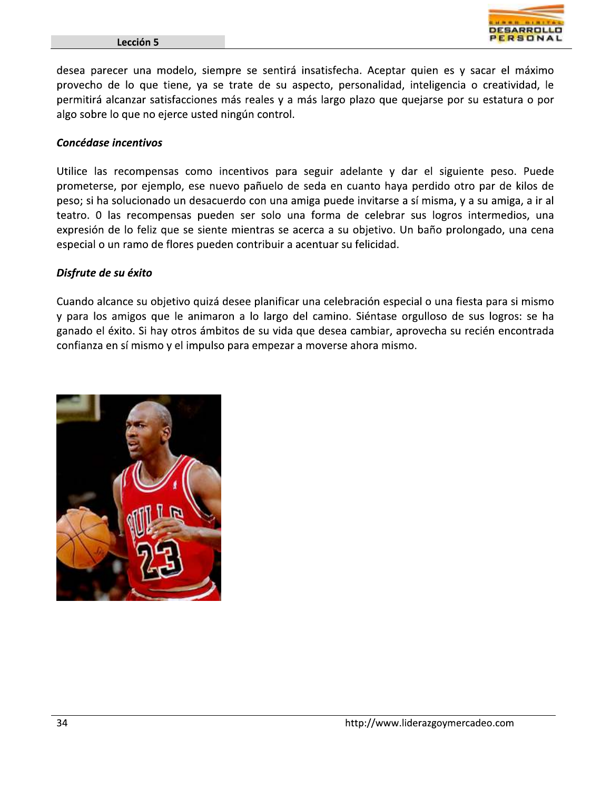#### Lección 5



desea parecer una modelo, siempre se sentirá insatisfecha. Aceptar quien es y sacar el máximo provecho de lo que tiene, ya se trate de su aspecto, personalidad, inteligencia o creatividad, le permitirá alcanzar satisfacciones más reales y a más largo plazo que quejarse por su estatura o por algo sobre lo que no ejerce usted ningún control.

### Concédase incentivos

Utilice las recompensas como incentivos para seguir adelante y dar el siguiente peso. Puede prometerse, por ejemplo, ese nuevo pañuelo de seda en cuanto haya perdido otro par de kilos de peso; si ha solucionado un desacuerdo con una amiga puede invitarse a sí misma, y a su amiga, a ir al teatro. O las recompensas pueden ser solo una forma de celebrar sus logros intermedios, una expresión de lo feliz que se siente mientras se acerca a su objetivo. Un baño prolongado, una cena especial o un ramo de flores pueden contribuir a acentuar su felicidad.

### Disfrute de su éxito

Cuando alcance su objetivo quizá desee planificar una celebración especial o una fiesta para si mismo y para los amigos que le animaron a lo largo del camino. Siéntase orgulloso de sus logros: se ha ganado el éxito. Si hay otros ámbitos de su vida que desea cambiar, aprovecha su recién encontrada confianza en sí mismo y el impulso para empezar a moverse ahora mismo.

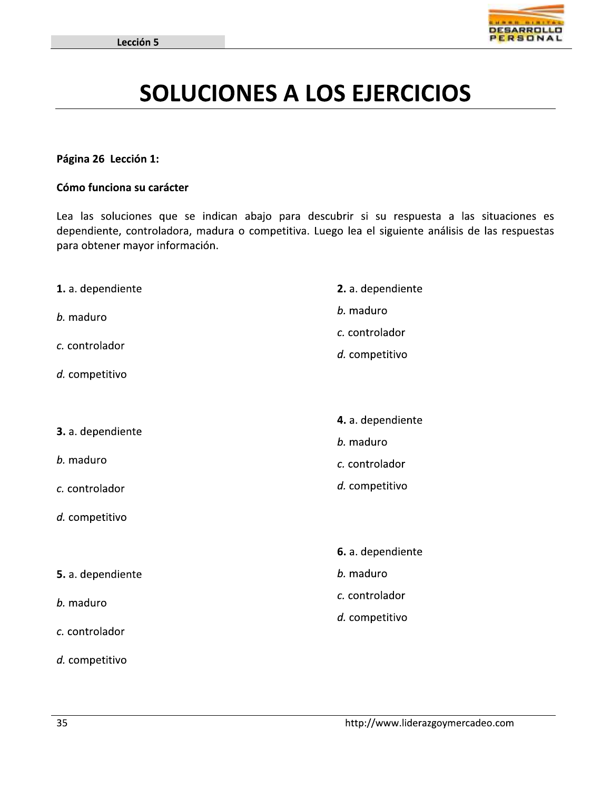

### **SOLUCIONES A LOS EJERCICIOS**

### Página 26 Lección 1:

#### Cómo funciona su carácter

Lea las soluciones que se indican abajo para descubrir si su respuesta a las situaciones es dependiente, controladora, madura o competitiva. Luego lea el siguiente análisis de las respuestas para obtener mayor información.

| 1. a. dependiente              | 2. a. dependiente |
|--------------------------------|-------------------|
| b. maduro                      | b. maduro         |
|                                | c. controlador    |
| c. controlador                 | d. competitivo    |
| d. competitivo                 |                   |
|                                |                   |
| 3. a. dependiente<br>b. maduro | 4. a. dependiente |
|                                | b. maduro         |
|                                | c. controlador    |
| c. controlador                 | d. competitivo    |
| d. competitivo                 |                   |
|                                |                   |
|                                | 6. a. dependiente |
| 5. a. dependiente              | b. maduro         |
| b. maduro<br>c. controlador    | c. controlador    |
|                                | d. competitivo    |
|                                |                   |
| d. competitivo                 |                   |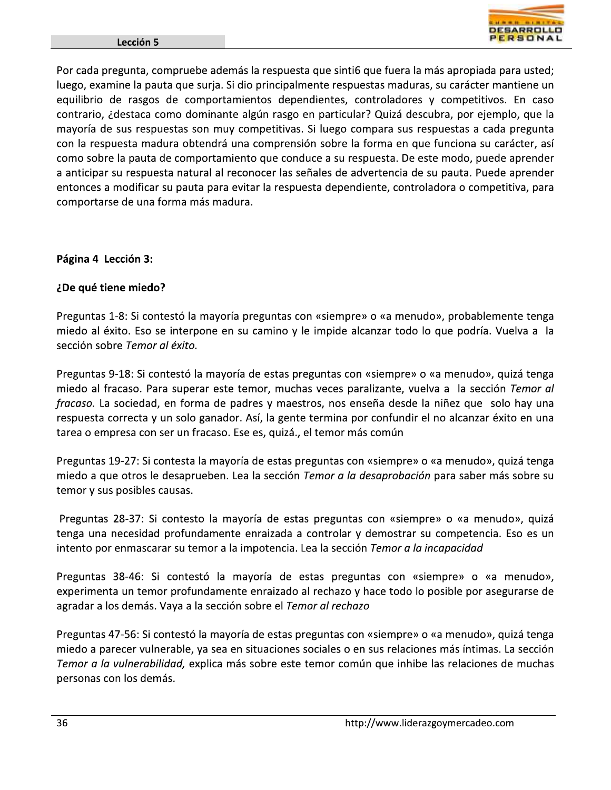

Por cada pregunta, compruebe además la respuesta que sinti6 que fuera la más apropiada para usted; luego, examine la pauta que surja. Si dio principalmente respuestas maduras, su carácter mantiene un equilibrio de rasgos de comportamientos dependientes, controladores y competitivos. En caso contrario, ¿destaca como dominante algún rasgo en particular? Quizá descubra, por ejemplo, que la mayoría de sus respuestas son muy competitivas. Si luego compara sus respuestas a cada pregunta con la respuesta madura obtendrá una comprensión sobre la forma en que funciona su carácter, así como sobre la pauta de comportamiento que conduce a su respuesta. De este modo, puede aprender a anticipar su respuesta natural al reconocer las señales de advertencia de su pauta. Puede aprender entonces a modificar su pauta para evitar la respuesta dependiente, controladora o competitiva, para comportarse de una forma más madura.

### Página 4 Lección 3:

### ¿De qué tiene miedo?

Preguntas 1-8: Si contestó la mayoría preguntas con «siempre» o «a menudo», probablemente tenga miedo al éxito. Eso se interpone en su camino y le impide alcanzar todo lo que podría. Vuelva a la sección sobre Temor al éxito.

Preguntas 9-18: Si contestó la mayoría de estas preguntas con «siempre» o «a menudo», quizá tenga miedo al fracaso. Para superar este temor, muchas veces paralizante, vuelva a la sección Temor al fracaso. La sociedad, en forma de padres y maestros, nos enseña desde la niñez que solo hay una respuesta correcta y un solo ganador. Así, la gente termina por confundir el no alcanzar éxito en una tarea o empresa con ser un fracaso. Ese es, quizá., el temor más común

Preguntas 19-27: Si contesta la mayoría de estas preguntas con «siempre» o «a menudo», quizá tenga miedo a que otros le desaprueben. Lea la sección Temor a la desaprobación para saber más sobre su temor y sus posibles causas.

Preguntas 28-37: Si contesto la mayoría de estas preguntas con «siempre» o «a menudo», quizá tenga una necesidad profundamente enraizada a controlar y demostrar su competencia. Eso es un intento por enmascarar su temor a la impotencia. Lea la sección Temor a la incapacidad

Preguntas 38-46: Si contestó la mayoría de estas preguntas con «siempre» o «a menudo», experimenta un temor profundamente enraizado al rechazo y hace todo lo posible por asegurarse de agradar a los demás. Vaya a la sección sobre el Temor al rechazo

Preguntas 47-56: Si contestó la mayoría de estas preguntas con «siempre» o «a menudo», quizá tenga miedo a parecer vulnerable, ya sea en situaciones sociales o en sus relaciones más íntimas. La sección Temor a la vulnerabilidad, explica más sobre este temor común que inhibe las relaciones de muchas personas con los demás.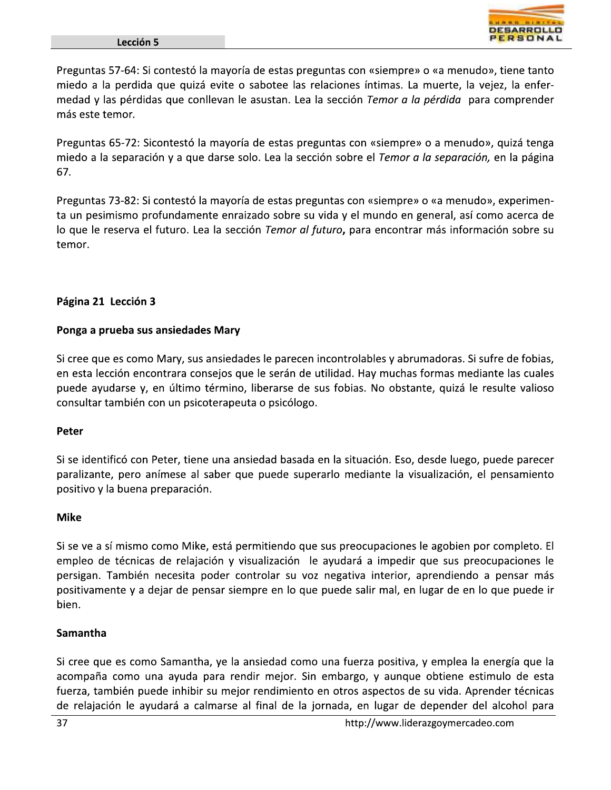

Preguntas 57-64: Si contestó la mayoría de estas preguntas con «siempre» o «a menudo», tiene tanto miedo a la perdida que quizá evite o sabotee las relaciones íntimas. La muerte, la vejez, la enfermedad y las pérdidas que conllevan le asustan. Lea la sección Temor a la pérdida para comprender más este temor.

Preguntas 65-72: Sicontestó la mayoría de estas preguntas con «siempre» o a menudo», quizá tenga miedo a la separación y a que darse solo. Lea la sección sobre el Temor a la separación, en la página 67.

Preguntas 73-82: Si contestó la mayoría de estas preguntas con «siempre» o «a menudo», experimenta un pesimismo profundamente enraizado sobre su vida y el mundo en general, así como acerca de lo que le reserva el futuro. Lea la sección Temor al futuro, para encontrar más información sobre su temor.

### Página 21 Lección 3

### Ponga a prueba sus ansiedades Mary

Si cree que es como Mary, sus ansiedades le parecen incontrolables y abrumadoras. Si sufre de fobias, en esta lección encontrara consejos que le serán de utilidad. Hay muchas formas mediante las cuales puede ayudarse y, en último término, liberarse de sus fobias. No obstante, quizá le resulte valioso consultar también con un psicoterapeuta o psicólogo.

### Peter

Si se identificó con Peter, tiene una ansiedad basada en la situación. Eso, desde luego, puede parecer paralizante, pero anímese al saber que puede superarlo mediante la visualización, el pensamiento positivo y la buena preparación.

### **Mike**

Si se ve a sí mismo como Mike, está permitiendo que sus preocupaciones le agobien por completo. El empleo de técnicas de relajación y visualización le ayudará a impedir que sus preocupaciones le persigan. También necesita poder controlar su voz negativa interior, aprendiendo a pensar más positivamente y a dejar de pensar siempre en lo que puede salir mal, en lugar de en lo que puede ir bien.

### Samantha

Si cree que es como Samantha, ye la ansiedad como una fuerza positiva, y emplea la energía que la acompaña como una ayuda para rendir mejor. Sin embargo, y aunque obtiene estimulo de esta fuerza, también puede inhibir su mejor rendimiento en otros aspectos de su vida. Aprender técnicas de relajación le ayudará a calmarse al final de la jornada, en lugar de depender del alcohol para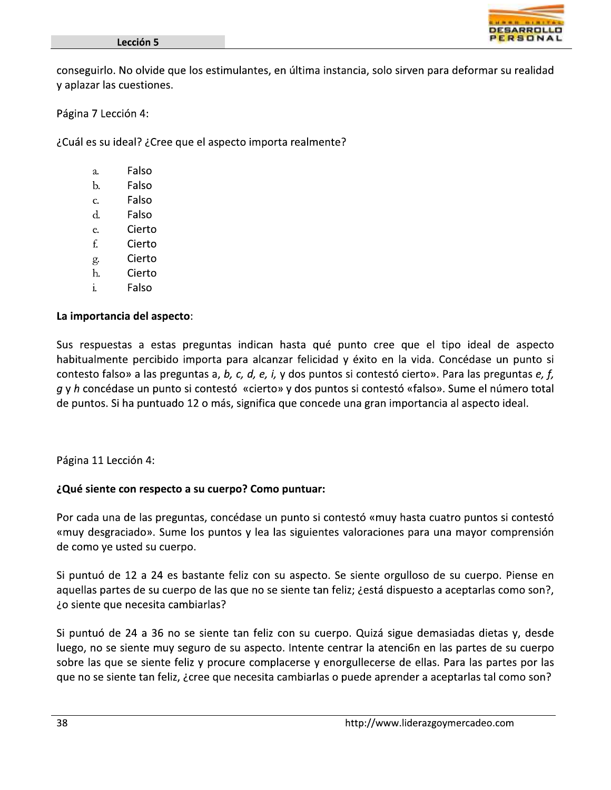

conseguirlo. No olvide que los estimulantes, en última instancia, solo sirven para deformar su realidad y aplazar las cuestiones.

Página 7 Lección 4:

¿Cuál es su ideal? ¿Cree que el aspecto importa realmente?

- Falso a.
- $\mathbf{b}$ . Falso
- Falso  $\mathbf{C}$
- $\mathbf{d}$ . Falso
- Cierto  $\mathsf{e}$ .
- f. Cierto
- Cierto g.
- h. Cierto
- $\mathbf{i}$ . Falso

### La importancia del aspecto:

Sus respuestas a estas preguntas indican hasta qué punto cree que el tipo ideal de aspecto habitualmente percibido importa para alcanzar felicidad y éxito en la vida. Concédase un punto si contesto falso» a las preguntas a, b, c, d, e, i, y dos puntos si contestó cierto». Para las preguntas e, f, g y h concédase un punto si contestó «cierto» y dos puntos si contestó «falso». Sume el número total de puntos. Si ha puntuado 12 o más, significa que concede una gran importancia al aspecto ideal.

Página 11 Lección 4:

### ¿Qué siente con respecto a su cuerpo? Como puntuar:

Por cada una de las preguntas, concédase un punto si contestó «muy hasta cuatro puntos si contestó «muy desgraciado». Sume los puntos y lea las siguientes valoraciones para una mayor comprensión de como ye usted su cuerpo.

Si puntuó de 12 a 24 es bastante feliz con su aspecto. Se siente orgulloso de su cuerpo. Piense en aquellas partes de su cuerpo de las que no se siente tan feliz; destá dispuesto a aceptarlas como son?, ¿o siente que necesita cambiarlas?

Si puntuó de 24 a 36 no se siente tan feliz con su cuerpo. Quizá sigue demasiadas dietas y, desde luego, no se siente muy seguro de su aspecto. Intente centrar la atención en las partes de su cuerpo sobre las que se siente feliz y procure complacerse y enorgullecerse de ellas. Para las partes por las que no se siente tan feliz, ¿cree que necesita cambiarlas o puede aprender a aceptarlas tal como son?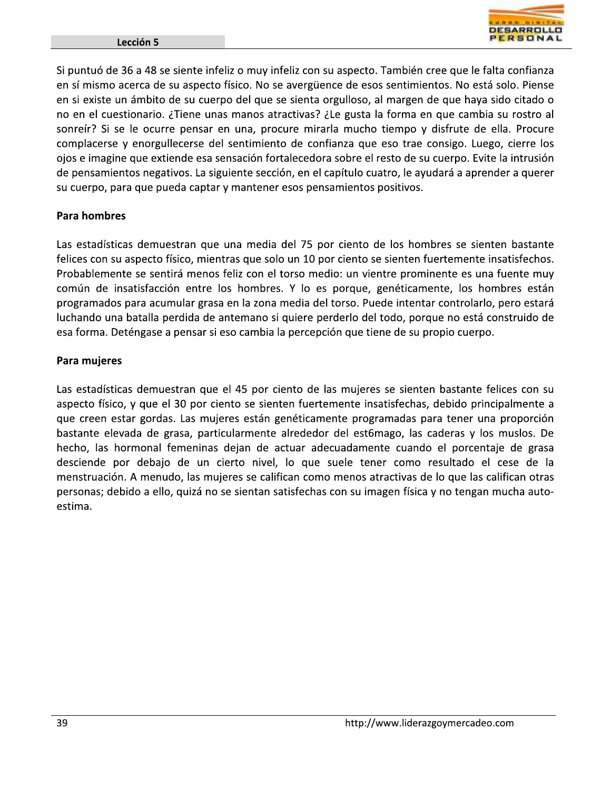

Si puntuó de 36 a 48 se siente infeliz o muy infeliz con su aspecto. También cree que le falta confianza en sí mismo acerca de su aspecto físico. No se avergüence de esos sentimientos. No está solo. Piense en si existe un ámbito de su cuerpo del que se sienta orgulloso, al margen de que haya sido citado o no en el cuestionario. ¿Tiene unas manos atractivas? ¿Le gusta la forma en que cambia su rostro al sonreír? Si se le ocurre pensar en una, procure mirarla mucho tiempo y disfrute de ella. Procure complacerse y enorgullecerse del sentimiento de confianza que eso trae consigo. Luego, cierre los ojos e imagine que extiende esa sensación fortalecedora sobre el resto de su cuerpo. Evite la intrusión de pensamientos negativos. La siguiente sección, en el capítulo cuatro, le ayudará a aprender a querer su cuerpo, para que pueda captar y mantener esos pensamientos positivos.

### **Para hombres**

Las estadísticas demuestran que una media del 75 por ciento de los hombres se sienten bastante felices con su aspecto físico, mientras que solo un 10 por ciento se sienten fuertemente insatisfechos. Probablemente se sentirá menos feliz con el torso medio: un vientre prominente es una fuente muy común de insatisfacción entre los hombres. Y lo es porque, genéticamente, los hombres están programados para acumular grasa en la zona media del torso. Puede intentar controlarlo, pero estará luchando una batalla perdida de antemano si quiere perderlo del todo, porque no está construido de esa forma. Deténgase a pensar si eso cambia la percepción que tiene de su propio cuerpo.

#### Para mujeres

Las estadísticas demuestran que el 45 por ciento de las mujeres se sienten bastante felices con su aspecto físico, y que el 30 por ciento se sienten fuertemente insatisfechas, debido principalmente a que creen estar gordas. Las mujeres están genéticamente programadas para tener una proporción bastante elevada de grasa, particularmente alrededor del est6mago, las caderas y los muslos. De hecho, las hormonal femeninas dejan de actuar adecuadamente cuando el porcentaje de grasa desciende por debajo de un cierto nivel, lo que suele tener como resultado el cese de la menstruación. A menudo, las mujeres se califican como menos atractivas de lo que las califican otras personas; debido a ello, quizá no se sientan satisfechas con su imagen física y no tengan mucha autoestima.